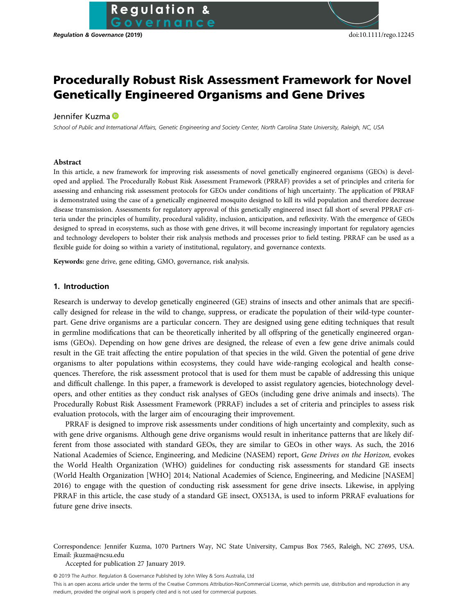# Procedurally Robust Risk Assessment Framework for Novel Genetically Engineered Organisms and Gene Drives

#### Jennifer Kuzma

School of Public and International Affairs, Genetic Engineering and Society Center, North Carolina State University, Raleigh, NC, USA

#### Abstract

In this article, a new framework for improving risk assessments of novel genetically engineered organisms (GEOs) is developed and applied. The Procedurally Robust Risk Assessment Framework (PRRAF) provides a set of principles and criteria for assessing and enhancing risk assessment protocols for GEOs under conditions of high uncertainty. The application of PRRAF is demonstrated using the case of a genetically engineered mosquito designed to kill its wild population and therefore decrease disease transmission. Assessments for regulatory approval of this genetically engineered insect fall short of several PPRAF criteria under the principles of humility, procedural validity, inclusion, anticipation, and reflexivity. With the emergence of GEOs designed to spread in ecosystems, such as those with gene drives, it will become increasingly important for regulatory agencies and technology developers to bolster their risk analysis methods and processes prior to field testing. PRRAF can be used as a flexible guide for doing so within a variety of institutional, regulatory, and governance contexts.

Keywords: gene drive, gene editing, GMO, governance, risk analysis.

**Regulation &** iovernance

# 1. Introduction

Research is underway to develop genetically engineered (GE) strains of insects and other animals that are specifically designed for release in the wild to change, suppress, or eradicate the population of their wild-type counterpart. Gene drive organisms are a particular concern. They are designed using gene editing techniques that result in germline modifications that can be theoretically inherited by all offspring of the genetically engineered organisms (GEOs). Depending on how gene drives are designed, the release of even a few gene drive animals could result in the GE trait affecting the entire population of that species in the wild. Given the potential of gene drive organisms to alter populations within ecosystems, they could have wide-ranging ecological and health consequences. Therefore, the risk assessment protocol that is used for them must be capable of addressing this unique and difficult challenge. In this paper, a framework is developed to assist regulatory agencies, biotechnology developers, and other entities as they conduct risk analyses of GEOs (including gene drive animals and insects). The Procedurally Robust Risk Assessment Framework (PRRAF) includes a set of criteria and principles to assess risk evaluation protocols, with the larger aim of encouraging their improvement.

PRRAF is designed to improve risk assessments under conditions of high uncertainty and complexity, such as with gene drive organisms. Although gene drive organisms would result in inheritance patterns that are likely different from those associated with standard GEOs, they are similar to GEOs in other ways. As such, the 2016 National Academies of Science, Engineering, and Medicine (NASEM) report, Gene Drives on the Horizon, evokes the World Health Organization (WHO) guidelines for conducting risk assessments for standard GE insects (World Health Organization [WHO] 2014; National Academies of Science, Engineering, and Medicine [NASEM] 2016) to engage with the question of conducting risk assessment for gene drive insects. Likewise, in applying PRRAF in this article, the case study of a standard GE insect, OX513A, is used to inform PRRAF evaluations for future gene drive insects.

Correspondence: Jennifer Kuzma, 1070 Partners Way, NC State University, Campus Box 7565, Raleigh, NC 27695, USA. Email: [jkuzma@ncsu.edu](mailto:jkuzma@ncsu.edu)

Accepted for publication 27 January 2019.

© 2019 The Author. Regulation & Governance Published by John Wiley & Sons Australia, Ltd This is an open access article under the terms of the [Creative Commons Attribution-NonCommercial](http://creativecommons.org/licenses/by-nc/4.0/) License, which permits use, distribution and reproduction in any medium, provided the original work is properly cited and is not used for commercial purposes.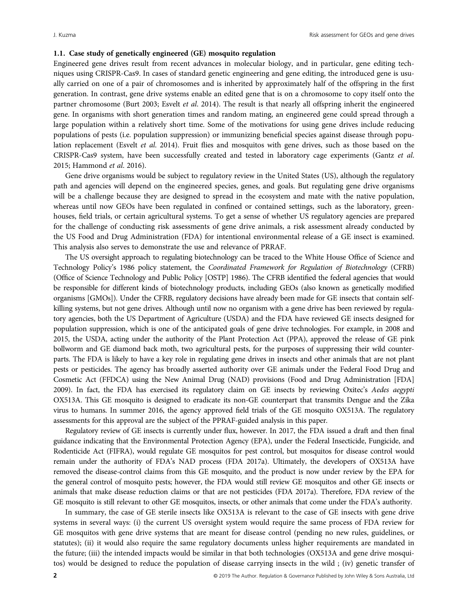#### 1.1. Case study of genetically engineered (GE) mosquito regulation

Engineered gene drives result from recent advances in molecular biology, and in particular, gene editing techniques using CRISPR-Cas9. In cases of standard genetic engineering and gene editing, the introduced gene is usually carried on one of a pair of chromosomes and is inherited by approximately half of the offspring in the first generation. In contrast, gene drive systems enable an edited gene that is on a chromosome to copy itself onto the partner chromosome (Burt 2003; Esvelt et al. 2014). The result is that nearly all offspring inherit the engineered gene. In organisms with short generation times and random mating, an engineered gene could spread through a large population within a relatively short time. Some of the motivations for using gene drives include reducing populations of pests (i.e. population suppression) or immunizing beneficial species against disease through population replacement (Esvelt et al. 2014). Fruit flies and mosquitos with gene drives, such as those based on the CRISPR-Cas9 system, have been successfully created and tested in laboratory cage experiments (Gantz et al. 2015; Hammond et al. 2016).

Gene drive organisms would be subject to regulatory review in the United States (US), although the regulatory path and agencies will depend on the engineered species, genes, and goals. But regulating gene drive organisms will be a challenge because they are designed to spread in the ecosystem and mate with the native population, whereas until now GEOs have been regulated in confined or contained settings, such as the laboratory, greenhouses, field trials, or certain agricultural systems. To get a sense of whether US regulatory agencies are prepared for the challenge of conducting risk assessments of gene drive animals, a risk assessment already conducted by the US Food and Drug Administration (FDA) for intentional environmental release of a GE insect is examined. This analysis also serves to demonstrate the use and relevance of PRRAF.

The US oversight approach to regulating biotechnology can be traced to the White House Office of Science and Technology Policy's 1986 policy statement, the Coordinated Framework for Regulation of Biotechnology (CFRB) (Office of Science Technology and Public Policy [OSTP] 1986). The CFRB identified the federal agencies that would be responsible for different kinds of biotechnology products, including GEOs (also known as genetically modified organisms [GMOs]). Under the CFRB, regulatory decisions have already been made for GE insects that contain selfkilling systems, but not gene drives. Although until now no organism with a gene drive has been reviewed by regulatory agencies, both the US Department of Agriculture (USDA) and the FDA have reviewed GE insects designed for population suppression, which is one of the anticipated goals of gene drive technologies. For example, in 2008 and 2015, the USDA, acting under the authority of the Plant Protection Act (PPA), approved the release of GE pink bollworm and GE diamond back moth, two agricultural pests, for the purposes of suppressing their wild counterparts. The FDA is likely to have a key role in regulating gene drives in insects and other animals that are not plant pests or pesticides. The agency has broadly asserted authority over GE animals under the Federal Food Drug and Cosmetic Act (FFDCA) using the New Animal Drug (NAD) provisions (Food and Drug Administration [FDA] 2009). In fact, the FDA has exercised its regulatory claim on GE insects by reviewing Oxitec's Aedes aegypti OX513A. This GE mosquito is designed to eradicate its non-GE counterpart that transmits Dengue and the Zika virus to humans. In summer 2016, the agency approved field trials of the GE mosquito OX513A. The regulatory assessments for this approval are the subject of the PPRAF-guided analysis in this paper.

Regulatory review of GE insects is currently under flux, however. In 2017, the FDA issued a draft and then final guidance indicating that the Environmental Protection Agency (EPA), under the Federal Insecticide, Fungicide, and Rodenticide Act (FIFRA), would regulate GE mosquitos for pest control, but mosquitos for disease control would remain under the authority of FDA's NAD process (FDA 2017a). Ultimately, the developers of OX513A have removed the disease-control claims from this GE mosquito, and the product is now under review by the EPA for the general control of mosquito pests; however, the FDA would still review GE mosquitos and other GE insects or animals that make disease reduction claims or that are not pesticides (FDA 2017a). Therefore, FDA review of the GE mosquito is still relevant to other GE mosquitos, insects, or other animals that come under the FDA's authority.

In summary, the case of GE sterile insects like OX513A is relevant to the case of GE insects with gene drive systems in several ways: (i) the current US oversight system would require the same process of FDA review for GE mosquitos with gene drive systems that are meant for disease control (pending no new rules, guidelines, or statutes); (ii) it would also require the same regulatory documents unless higher requirements are mandated in the future; (iii) the intended impacts would be similar in that both technologies (OX513A and gene drive mosquitos) would be designed to reduce the population of disease carrying insects in the wild ; (iv) genetic transfer of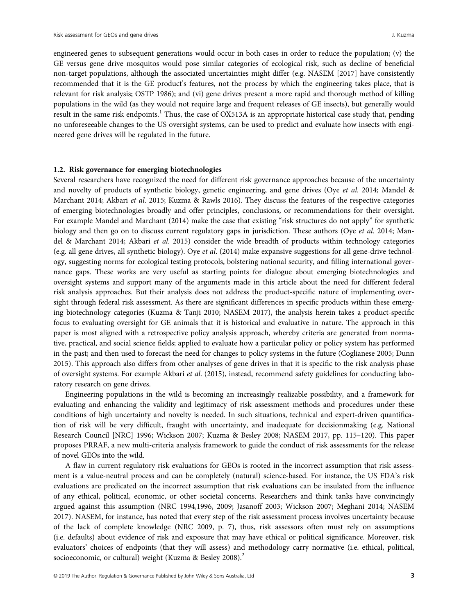engineered genes to subsequent generations would occur in both cases in order to reduce the population; (v) the GE versus gene drive mosquitos would pose similar categories of ecological risk, such as decline of beneficial non-target populations, although the associated uncertainties might differ (e.g. NASEM [2017] have consistently recommended that it is the GE product's features, not the process by which the engineering takes place, that is relevant for risk analysis; OSTP 1986); and (vi) gene drives present a more rapid and thorough method of killing populations in the wild (as they would not require large and frequent releases of GE insects), but generally would result in the same risk endpoints.<sup>1</sup> Thus, the case of OX513A is an appropriate historical case study that, pending no unforeseeable changes to the US oversight systems, can be used to predict and evaluate how insects with engineered gene drives will be regulated in the future.

## 1.2. Risk governance for emerging biotechnologies

Several researchers have recognized the need for different risk governance approaches because of the uncertainty and novelty of products of synthetic biology, genetic engineering, and gene drives (Oye et al. 2014; Mandel & Marchant 2014; Akbari et al. 2015; Kuzma & Rawls 2016). They discuss the features of the respective categories of emerging biotechnologies broadly and offer principles, conclusions, or recommendations for their oversight. For example Mandel and Marchant (2014) make the case that existing "risk structures do not apply" for synthetic biology and then go on to discuss current regulatory gaps in jurisdiction. These authors (Oye et al. 2014; Mandel & Marchant 2014; Akbari et al. 2015) consider the wide breadth of products within technology categories (e.g. all gene drives, all synthetic biology). Oye et al. (2014) make expansive suggestions for all gene-drive technology, suggesting norms for ecological testing protocols, bolstering national security, and filling international governance gaps. These works are very useful as starting points for dialogue about emerging biotechnologies and oversight systems and support many of the arguments made in this article about the need for different federal risk analysis approaches. But their analysis does not address the product-specific nature of implementing oversight through federal risk assessment. As there are significant differences in specific products within these emerging biotechnology categories (Kuzma & Tanji 2010; NASEM 2017), the analysis herein takes a product-specific focus to evaluating oversight for GE animals that it is historical and evaluative in nature. The approach in this paper is most aligned with a retrospective policy analysis approach, whereby criteria are generated from normative, practical, and social science fields; applied to evaluate how a particular policy or policy system has performed in the past; and then used to forecast the need for changes to policy systems in the future (Coglianese 2005; Dunn 2015). This approach also differs from other analyses of gene drives in that it is specific to the risk analysis phase of oversight systems. For example Akbari et al. (2015), instead, recommend safety guidelines for conducting laboratory research on gene drives.

Engineering populations in the wild is becoming an increasingly realizable possibility, and a framework for evaluating and enhancing the validity and legitimacy of risk assessment methods and procedures under these conditions of high uncertainty and novelty is needed. In such situations, technical and expert-driven quantification of risk will be very difficult, fraught with uncertainty, and inadequate for decisionmaking (e.g. National Research Council [NRC] 1996; Wickson 2007; Kuzma & Besley 2008; NASEM 2017, pp. 115–120). This paper proposes PRRAF, a new multi-criteria analysis framework to guide the conduct of risk assessments for the release of novel GEOs into the wild.

A flaw in current regulatory risk evaluations for GEOs is rooted in the incorrect assumption that risk assessment is a value-neutral process and can be completely (natural) science-based. For instance, the US FDA's risk evaluations are predicated on the incorrect assumption that risk evaluations can be insulated from the influence of any ethical, political, economic, or other societal concerns. Researchers and think tanks have convincingly argued against this assumption (NRC 1994,1996, 2009; Jasanoff 2003; Wickson 2007; Meghani 2014; NASEM 2017). NASEM, for instance, has noted that every step of the risk assessment process involves uncertainty because of the lack of complete knowledge (NRC 2009, p. 7), thus, risk assessors often must rely on assumptions (i.e. defaults) about evidence of risk and exposure that may have ethical or political significance. Moreover, risk evaluators' choices of endpoints (that they will assess) and methodology carry normative (i.e. ethical, political, socioeconomic, or cultural) weight (Kuzma & Besley 2008).<sup>2</sup>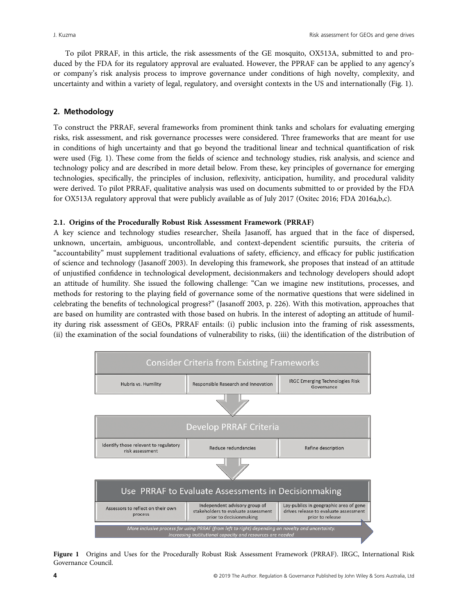To pilot PRRAF, in this article, the risk assessments of the GE mosquito, OX513A, submitted to and produced by the FDA for its regulatory approval are evaluated. However, the PPRAF can be applied to any agency's or company's risk analysis process to improve governance under conditions of high novelty, complexity, and uncertainty and within a variety of legal, regulatory, and oversight contexts in the US and internationally (Fig. 1).

# 2. Methodology

To construct the PRRAF, several frameworks from prominent think tanks and scholars for evaluating emerging risks, risk assessment, and risk governance processes were considered. Three frameworks that are meant for use in conditions of high uncertainty and that go beyond the traditional linear and technical quantification of risk were used (Fig. 1). These come from the fields of science and technology studies, risk analysis, and science and technology policy and are described in more detail below. From these, key principles of governance for emerging technologies, specifically, the principles of inclusion, reflexivity, anticipation, humility, and procedural validity were derived. To pilot PRRAF, qualitative analysis was used on documents submitted to or provided by the FDA for OX513A regulatory approval that were publicly available as of July 2017 (Oxitec 2016; FDA 2016a,b,c).

# 2.1. Origins of the Procedurally Robust Risk Assessment Framework (PRRAF)

A key science and technology studies researcher, Sheila Jasanoff, has argued that in the face of dispersed, unknown, uncertain, ambiguous, uncontrollable, and context-dependent scientific pursuits, the criteria of "accountability" must supplement traditional evaluations of safety, efficiency, and efficacy for public justification of science and technology (Jasanoff 2003). In developing this framework, she proposes that instead of an attitude of unjustified confidence in technological development, decisionmakers and technology developers should adopt an attitude of humility. She issued the following challenge: "Can we imagine new institutions, processes, and methods for restoring to the playing field of governance some of the normative questions that were sidelined in celebrating the benefits of technological progress?" (Jasanoff 2003, p. 226). With this motivation, approaches that are based on humility are contrasted with those based on hubris. In the interest of adopting an attitude of humility during risk assessment of GEOs, PRRAF entails: (i) public inclusion into the framing of risk assessments, (ii) the examination of the social foundations of vulnerability to risks, (iii) the identification of the distribution of



Figure 1 Origins and Uses for the Procedurally Robust Risk Assessment Framework (PRRAF). IRGC, International Risk Governance Council.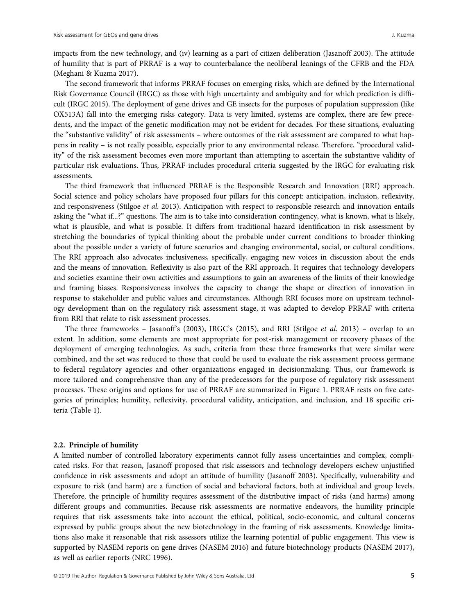impacts from the new technology, and (iv) learning as a part of citizen deliberation (Jasanoff 2003). The attitude of humility that is part of PRRAF is a way to counterbalance the neoliberal leanings of the CFRB and the FDA (Meghani & Kuzma 2017).

The second framework that informs PRRAF focuses on emerging risks, which are defined by the International Risk Governance Council (IRGC) as those with high uncertainty and ambiguity and for which prediction is difficult (IRGC 2015). The deployment of gene drives and GE insects for the purposes of population suppression (like OX513A) fall into the emerging risks category. Data is very limited, systems are complex, there are few precedents, and the impact of the genetic modification may not be evident for decades. For these situations, evaluating the "substantive validity" of risk assessments – where outcomes of the risk assessment are compared to what happens in reality – is not really possible, especially prior to any environmental release. Therefore, "procedural validity" of the risk assessment becomes even more important than attempting to ascertain the substantive validity of particular risk evaluations. Thus, PRRAF includes procedural criteria suggested by the IRGC for evaluating risk assessments.

The third framework that influenced PRRAF is the Responsible Research and Innovation (RRI) approach. Social science and policy scholars have proposed four pillars for this concept: anticipation, inclusion, reflexivity, and responsiveness (Stilgoe et al. 2013). Anticipation with respect to responsible research and innovation entails asking the "what if...?" questions. The aim is to take into consideration contingency, what is known, what is likely, what is plausible, and what is possible. It differs from traditional hazard identification in risk assessment by stretching the boundaries of typical thinking about the probable under current conditions to broader thinking about the possible under a variety of future scenarios and changing environmental, social, or cultural conditions. The RRI approach also advocates inclusiveness, specifically, engaging new voices in discussion about the ends and the means of innovation. Reflexivity is also part of the RRI approach. It requires that technology developers and societies examine their own activities and assumptions to gain an awareness of the limits of their knowledge and framing biases. Responsiveness involves the capacity to change the shape or direction of innovation in response to stakeholder and public values and circumstances. Although RRI focuses more on upstream technology development than on the regulatory risk assessment stage, it was adapted to develop PRRAF with criteria from RRI that relate to risk assessment processes.

The three frameworks – Jasanoff's (2003), IRGC's (2015), and RRI (Stilgoe et al. 2013) – overlap to an extent. In addition, some elements are most appropriate for post-risk management or recovery phases of the deployment of emerging technologies. As such, criteria from these three frameworks that were similar were combined, and the set was reduced to those that could be used to evaluate the risk assessment process germane to federal regulatory agencies and other organizations engaged in decisionmaking. Thus, our framework is more tailored and comprehensive than any of the predecessors for the purpose of regulatory risk assessment processes. These origins and options for use of PRRAF are summarized in Figure 1. PRRAF rests on five categories of principles; humility, reflexivity, procedural validity, anticipation, and inclusion, and 18 specific criteria (Table 1).

#### 2.2. Principle of humility

A limited number of controlled laboratory experiments cannot fully assess uncertainties and complex, complicated risks. For that reason, Jasanoff proposed that risk assessors and technology developers eschew unjustified confidence in risk assessments and adopt an attitude of humility (Jasanoff 2003). Specifically, vulnerability and exposure to risk (and harm) are a function of social and behavioral factors, both at individual and group levels. Therefore, the principle of humility requires assessment of the distributive impact of risks (and harms) among different groups and communities. Because risk assessments are normative endeavors, the humility principle requires that risk assessments take into account the ethical, political, socio-economic, and cultural concerns expressed by public groups about the new biotechnology in the framing of risk assessments. Knowledge limitations also make it reasonable that risk assessors utilize the learning potential of public engagement. This view is supported by NASEM reports on gene drives (NASEM 2016) and future biotechnology products (NASEM 2017), as well as earlier reports (NRC 1996).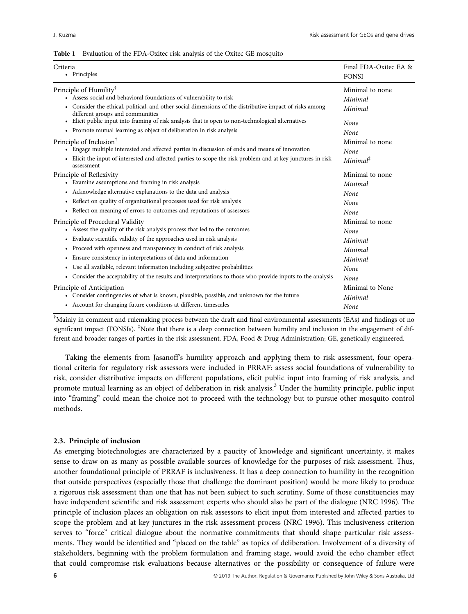|  |  |  |  |  |  | Table 1 Evaluation of the FDA-Oxitec risk analysis of the Oxitec GE mosquito |  |
|--|--|--|--|--|--|------------------------------------------------------------------------------|--|
|--|--|--|--|--|--|------------------------------------------------------------------------------|--|

| Criteria<br>• Principles                                                                                                                                                                                                                           | Final FDA-Oxitec EA &<br><b>FONSI</b> |
|----------------------------------------------------------------------------------------------------------------------------------------------------------------------------------------------------------------------------------------------------|---------------------------------------|
| Principle of Humility <sup>†</sup>                                                                                                                                                                                                                 | Minimal to none                       |
| • Assess social and behavioral foundations of vulnerability to risk                                                                                                                                                                                | Minimal                               |
| • Consider the ethical, political, and other social dimensions of the distributive impact of risks among<br>different groups and communities<br>• Elicit public input into framing of risk analysis that is open to non-technological alternatives | Minimal                               |
|                                                                                                                                                                                                                                                    | None                                  |
| • Promote mutual learning as object of deliberation in risk analysis                                                                                                                                                                               | None                                  |
| Principle of Inclusion $^{\dagger}$                                                                                                                                                                                                                | Minimal to none                       |
| • Engage multiple interested and affected parties in discussion of ends and means of innovation                                                                                                                                                    | None                                  |
| • Elicit the input of interested and affected parties to scope the risk problem and at key junctures in risk<br>assessment                                                                                                                         | Minimal <sup>‡</sup>                  |
| Principle of Reflexivity                                                                                                                                                                                                                           | Minimal to none                       |
| • Examine assumptions and framing in risk analysis                                                                                                                                                                                                 | Minimal                               |
| • Acknowledge alternative explanations to the data and analysis                                                                                                                                                                                    | None                                  |
| • Reflect on quality of organizational processes used for risk analysis                                                                                                                                                                            | None                                  |
| • Reflect on meaning of errors to outcomes and reputations of assessors                                                                                                                                                                            | None                                  |
| Principle of Procedural Validity                                                                                                                                                                                                                   | Minimal to none                       |
| • Assess the quality of the risk analysis process that led to the outcomes                                                                                                                                                                         | None                                  |
| Evaluate scientific validity of the approaches used in risk analysis<br>$\bullet$                                                                                                                                                                  | Minimal                               |
| Proceed with openness and transparency in conduct of risk analysis<br>٠                                                                                                                                                                            | Minimal                               |
| Ensure consistency in interpretations of data and information<br>٠                                                                                                                                                                                 | Minimal                               |
| • Use all available, relevant information including subjective probabilities                                                                                                                                                                       | None                                  |
| • Consider the acceptability of the results and interpretations to those who provide inputs to the analysis                                                                                                                                        | None                                  |
| Principle of Anticipation                                                                                                                                                                                                                          | Minimal to None                       |
| • Consider contingencies of what is known, plausible, possible, and unknown for the future                                                                                                                                                         | Minimal                               |
| • Account for changing future conditions at different timescales                                                                                                                                                                                   | None                                  |

† Mainly in comment and rulemaking process between the draft and final environmental assessments (EAs) and findings of no significant impact (FONSIs).  $^{\ddagger}$ Note that there is a deep connection between humility and inclusion in the engagement of different and broader ranges of parties in the risk assessment. FDA, Food & Drug Administration; GE, genetically engineered.

Taking the elements from Jasanoff's humility approach and applying them to risk assessment, four operational criteria for regulatory risk assessors were included in PRRAF: assess social foundations of vulnerability to risk, consider distributive impacts on different populations, elicit public input into framing of risk analysis, and promote mutual learning as an object of deliberation in risk analysis.<sup>3</sup> Under the humility principle, public input into "framing" could mean the choice not to proceed with the technology but to pursue other mosquito control methods.

#### 2.3. Principle of inclusion

As emerging biotechnologies are characterized by a paucity of knowledge and significant uncertainty, it makes sense to draw on as many as possible available sources of knowledge for the purposes of risk assessment. Thus, another foundational principle of PRRAF is inclusiveness. It has a deep connection to humility in the recognition that outside perspectives (especially those that challenge the dominant position) would be more likely to produce a rigorous risk assessment than one that has not been subject to such scrutiny. Some of those constituencies may have independent scientific and risk assessment experts who should also be part of the dialogue (NRC 1996). The principle of inclusion places an obligation on risk assessors to elicit input from interested and affected parties to scope the problem and at key junctures in the risk assessment process (NRC 1996). This inclusiveness criterion serves to "force" critical dialogue about the normative commitments that should shape particular risk assessments. They would be identified and "placed on the table" as topics of deliberation. Involvement of a diversity of stakeholders, beginning with the problem formulation and framing stage, would avoid the echo chamber effect that could compromise risk evaluations because alternatives or the possibility or consequence of failure were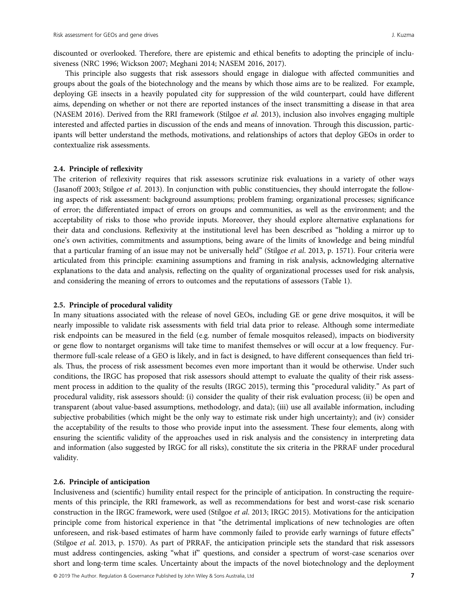discounted or overlooked. Therefore, there are epistemic and ethical benefits to adopting the principle of inclusiveness (NRC 1996; Wickson 2007; Meghani 2014; NASEM 2016, 2017).

This principle also suggests that risk assessors should engage in dialogue with affected communities and groups about the goals of the biotechnology and the means by which those aims are to be realized. For example, deploying GE insects in a heavily populated city for suppression of the wild counterpart, could have different aims, depending on whether or not there are reported instances of the insect transmitting a disease in that area (NASEM 2016). Derived from the RRI framework (Stilgoe et al. 2013), inclusion also involves engaging multiple interested and affected parties in discussion of the ends and means of innovation. Through this discussion, participants will better understand the methods, motivations, and relationships of actors that deploy GEOs in order to contextualize risk assessments.

## 2.4. Principle of reflexivity

The criterion of reflexivity requires that risk assessors scrutinize risk evaluations in a variety of other ways (Jasanoff 2003; Stilgoe et al. 2013). In conjunction with public constituencies, they should interrogate the following aspects of risk assessment: background assumptions; problem framing; organizational processes; significance of error; the differentiated impact of errors on groups and communities, as well as the environment; and the acceptability of risks to those who provide inputs. Moreover, they should explore alternative explanations for their data and conclusions. Reflexivity at the institutional level has been described as "holding a mirror up to one's own activities, commitments and assumptions, being aware of the limits of knowledge and being mindful that a particular framing of an issue may not be universally held" (Stilgoe et al. 2013, p. 1571). Four criteria were articulated from this principle: examining assumptions and framing in risk analysis, acknowledging alternative explanations to the data and analysis, reflecting on the quality of organizational processes used for risk analysis, and considering the meaning of errors to outcomes and the reputations of assessors (Table 1).

# 2.5. Principle of procedural validity

In many situations associated with the release of novel GEOs, including GE or gene drive mosquitos, it will be nearly impossible to validate risk assessments with field trial data prior to release. Although some intermediate risk endpoints can be measured in the field (e.g. number of female mosquitos released), impacts on biodiversity or gene flow to nontarget organisms will take time to manifest themselves or will occur at a low frequency. Furthermore full-scale release of a GEO is likely, and in fact is designed, to have different consequences than field trials. Thus, the process of risk assessment becomes even more important than it would be otherwise. Under such conditions, the IRGC has proposed that risk assessors should attempt to evaluate the quality of their risk assessment process in addition to the quality of the results (IRGC 2015), terming this "procedural validity." As part of procedural validity, risk assessors should: (i) consider the quality of their risk evaluation process; (ii) be open and transparent (about value-based assumptions, methodology, and data); (iii) use all available information, including subjective probabilities (which might be the only way to estimate risk under high uncertainty); and (iv) consider the acceptability of the results to those who provide input into the assessment. These four elements, along with ensuring the scientific validity of the approaches used in risk analysis and the consistency in interpreting data and information (also suggested by IRGC for all risks), constitute the six criteria in the PRRAF under procedural validity.

#### 2.6. Principle of anticipation

Inclusiveness and (scientific) humility entail respect for the principle of anticipation. In constructing the requirements of this principle, the RRI framework, as well as recommendations for best and worst-case risk scenario construction in the IRGC framework, were used (Stilgoe et al. 2013; IRGC 2015). Motivations for the anticipation principle come from historical experience in that "the detrimental implications of new technologies are often unforeseen, and risk-based estimates of harm have commonly failed to provide early warnings of future effects" (Stilgoe et al. 2013, p. 1570). As part of PRRAF, the anticipation principle sets the standard that risk assessors must address contingencies, asking "what if" questions, and consider a spectrum of worst-case scenarios over short and long-term time scales. Uncertainty about the impacts of the novel biotechnology and the deployment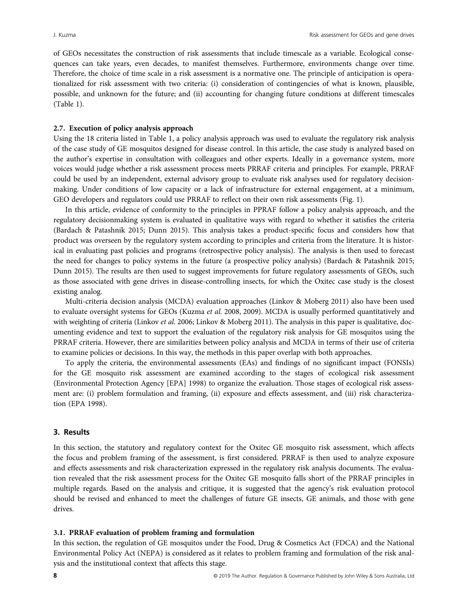of GEOs necessitates the construction of risk assessments that include timescale as a variable. Ecological consequences can take years, even decades, to manifest themselves. Furthermore, environments change over time. Therefore, the choice of time scale in a risk assessment is a normative one. The principle of anticipation is operationalized for risk assessment with two criteria: (i) consideration of contingencies of what is known, plausible, possible, and unknown for the future; and (ii) accounting for changing future conditions at different timescales (Table 1).

#### 2.7. Execution of policy analysis approach

Using the 18 criteria listed in Table 1, a policy analysis approach was used to evaluate the regulatory risk analysis of the case study of GE mosquitos designed for disease control. In this article, the case study is analyzed based on the author's expertise in consultation with colleagues and other experts. Ideally in a governance system, more voices would judge whether a risk assessment process meets PRRAF criteria and principles. For example, PRRAF could be used by an independent, external advisory group to evaluate risk analyses used for regulatory decisionmaking. Under conditions of low capacity or a lack of infrastructure for external engagement, at a minimum, GEO developers and regulators could use PRRAF to reflect on their own risk assessments (Fig. 1).

In this article, evidence of conformity to the principles in PPRAF follow a policy analysis approach, and the regulatory decisionmaking system is evaluated in qualitative ways with regard to whether it satisfies the criteria (Bardach & Patashnik 2015; Dunn 2015). This analysis takes a product-specific focus and considers how that product was overseen by the regulatory system according to principles and criteria from the literature. It is historical in evaluating past policies and programs (retrospective policy analysis). The analysis is then used to forecast the need for changes to policy systems in the future (a prospective policy analysis) (Bardach & Patashnik 2015; Dunn 2015). The results are then used to suggest improvements for future regulatory assessments of GEOs, such as those associated with gene drives in disease-controlling insects, for which the Oxitec case study is the closest existing analog.

Multi-criteria decision analysis (MCDA) evaluation approaches (Linkov & Moberg 2011) also have been used to evaluate oversight systems for GEOs (Kuzma et al. 2008, 2009). MCDA is usually performed quantitatively and with weighting of criteria (Linkov et al. 2006; Linkov & Moberg 2011). The analysis in this paper is qualitative, documenting evidence and text to support the evaluation of the regulatory risk analysis for GE mosquitos using the PRRAF criteria. However, there are similarities between policy analysis and MCDA in terms of their use of criteria to examine policies or decisions. In this way, the methods in this paper overlap with both approaches.

To apply the criteria, the environmental assessments (EAs) and findings of no significant impact (FONSIs) for the GE mosquito risk assessment are examined according to the stages of ecological risk assessment (Environmental Protection Agency [EPA] 1998) to organize the evaluation. Those stages of ecological risk assessment are: (i) problem formulation and framing, (ii) exposure and effects assessment, and (iii) risk characterization (EPA 1998).

#### 3. Results

In this section, the statutory and regulatory context for the Oxitec GE mosquito risk assessment, which affects the focus and problem framing of the assessment, is first considered. PRRAF is then used to analyze exposure and effects assessments and risk characterization expressed in the regulatory risk analysis documents. The evaluation revealed that the risk assessment process for the Oxitec GE mosquito falls short of the PRRAF principles in multiple regards. Based on the analysis and critique, it is suggested that the agency's risk evaluation protocol should be revised and enhanced to meet the challenges of future GE insects, GE animals, and those with gene drives.

#### 3.1. PRRAF evaluation of problem framing and formulation

In this section, the regulation of GE mosquitos under the Food, Drug & Cosmetics Act (FDCA) and the National Environmental Policy Act (NEPA) is considered as it relates to problem framing and formulation of the risk analysis and the institutional context that affects this stage.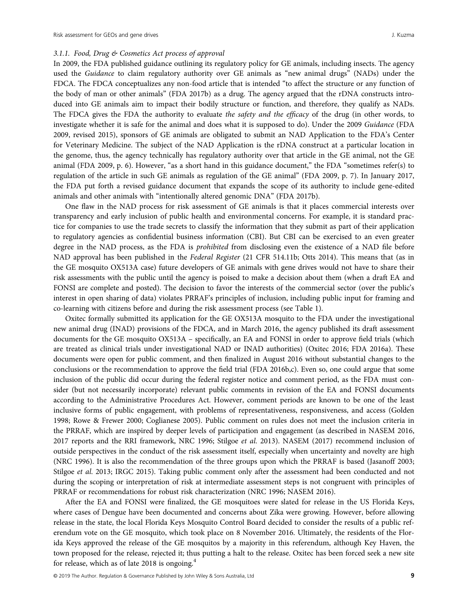## 3.1.1. Food, Drug & Cosmetics Act process of approval

In 2009, the FDA published guidance outlining its regulatory policy for GE animals, including insects. The agency used the Guidance to claim regulatory authority over GE animals as "new animal drugs" (NADs) under the FDCA. The FDCA conceptualizes any non-food article that is intended "to affect the structure or any function of the body of man or other animals" (FDA 2017b) as a drug. The agency argued that the rDNA constructs introduced into GE animals aim to impact their bodily structure or function, and therefore, they qualify as NADs. The FDCA gives the FDA the authority to evaluate the safety and the efficacy of the drug (in other words, to investigate whether it is safe for the animal and does what it is supposed to do). Under the 2009 Guidance (FDA 2009, revised 2015), sponsors of GE animals are obligated to submit an NAD Application to the FDA's Center for Veterinary Medicine. The subject of the NAD Application is the rDNA construct at a particular location in the genome, thus, the agency technically has regulatory authority over that article in the GE animal, not the GE animal (FDA 2009, p. 6). However, "as a short hand in this guidance document," the FDA "sometimes refer(s) to regulation of the article in such GE animals as regulation of the GE animal" (FDA 2009, p. 7). In January 2017, the FDA put forth a revised guidance document that expands the scope of its authority to include gene-edited animals and other animals with "intentionally altered genomic DNA" (FDA 2017b).

One flaw in the NAD process for risk assessment of GE animals is that it places commercial interests over transparency and early inclusion of public health and environmental concerns. For example, it is standard practice for companies to use the trade secrets to classify the information that they submit as part of their application to regulatory agencies as confidential business information (CBI). But CBI can be exercised to an even greater degree in the NAD process, as the FDA is prohibited from disclosing even the existence of a NAD file before NAD approval has been published in the Federal Register (21 CFR 514.11b; Otts 2014). This means that (as in the GE mosquito OX513A case) future developers of GE animals with gene drives would not have to share their risk assessments with the public until the agency is poised to make a decision about them (when a draft EA and FONSI are complete and posted). The decision to favor the interests of the commercial sector (over the public's interest in open sharing of data) violates PRRAF's principles of inclusion, including public input for framing and co-learning with citizens before and during the risk assessment process (see Table 1).

Oxitec formally submitted its application for the GE OX513A mosquito to the FDA under the investigational new animal drug (INAD) provisions of the FDCA, and in March 2016, the agency published its draft assessment documents for the GE mosquito OX513A – specifically, an EA and FONSI in order to approve field trials (which are treated as clinical trials under investigational NAD or INAD authorities) (Oxitec 2016; FDA 2016a). These documents were open for public comment, and then finalized in August 2016 without substantial changes to the conclusions or the recommendation to approve the field trial (FDA 2016b,c). Even so, one could argue that some inclusion of the public did occur during the federal register notice and comment period, as the FDA must consider (but not necessarily incorporate) relevant public comments in revision of the EA and FONSI documents according to the Administrative Procedures Act. However, comment periods are known to be one of the least inclusive forms of public engagement, with problems of representativeness, responsiveness, and access (Golden 1998; Rowe & Frewer 2000; Coglianese 2005). Public comment on rules does not meet the inclusion criteria in the PRRAF, which are inspired by deeper levels of participation and engagement (as described in NASEM 2016, 2017 reports and the RRI framework, NRC 1996; Stilgoe et al. 2013). NASEM (2017) recommend inclusion of outside perspectives in the conduct of the risk assessment itself, especially when uncertainty and novelty are high (NRC 1996). It is also the recommendation of the three groups upon which the PRRAF is based (Jasanoff 2003; Stilgoe et al. 2013; IRGC 2015). Taking public comment only after the assessment had been conducted and not during the scoping or interpretation of risk at intermediate assessment steps is not congruent with principles of PRRAF or recommendations for robust risk characterization (NRC 1996; NASEM 2016).

After the EA and FONSI were finalized, the GE mosquitoes were slated for release in the US Florida Keys, where cases of Dengue have been documented and concerns about Zika were growing. However, before allowing release in the state, the local Florida Keys Mosquito Control Board decided to consider the results of a public referendum vote on the GE mosquito, which took place on 8 November 2016. Ultimately, the residents of the Florida Keys approved the release of the GE mosquitos by a majority in this referendum, although Key Haven, the town proposed for the release, rejected it; thus putting a halt to the release. Oxitec has been forced seek a new site for release, which as of late 2018 is ongoing. $4$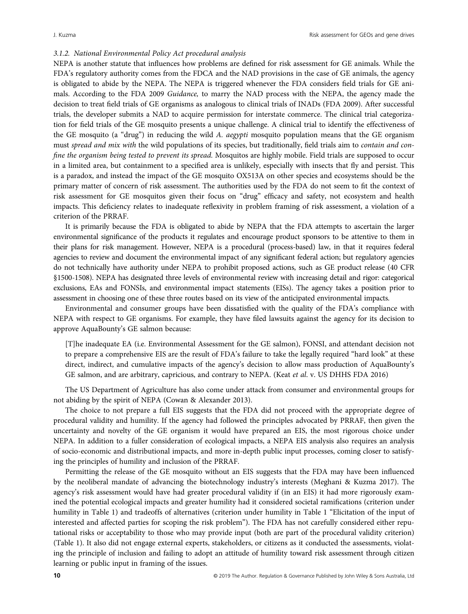# 3.1.2. National Environmental Policy Act procedural analysis

NEPA is another statute that influences how problems are defined for risk assessment for GE animals. While the FDA's regulatory authority comes from the FDCA and the NAD provisions in the case of GE animals, the agency is obligated to abide by the NEPA. The NEPA is triggered whenever the FDA considers field trials for GE animals. According to the FDA 2009 Guidance, to marry the NAD process with the NEPA, the agency made the decision to treat field trials of GE organisms as analogous to clinical trials of INADs (FDA 2009). After successful trials, the developer submits a NAD to acquire permission for interstate commerce. The clinical trial categorization for field trials of the GE mosquito presents a unique challenge. A clinical trial to identify the effectiveness of the GE mosquito (a "drug") in reducing the wild A. aegypti mosquito population means that the GE organism must spread and mix with the wild populations of its species, but traditionally, field trials aim to contain and confine the organism being tested to prevent its spread. Mosquitos are highly mobile. Field trials are supposed to occur in a limited area, but containment to a specified area is unlikely, especially with insects that fly and persist. This is a paradox, and instead the impact of the GE mosquito OX513A on other species and ecosystems should be the primary matter of concern of risk assessment. The authorities used by the FDA do not seem to fit the context of risk assessment for GE mosquitos given their focus on "drug" efficacy and safety, not ecosystem and health impacts. This deficiency relates to inadequate reflexivity in problem framing of risk assessment, a violation of a criterion of the PRRAF.

It is primarily because the FDA is obligated to abide by NEPA that the FDA attempts to ascertain the larger environmental significance of the products it regulates and encourage product sponsors to be attentive to them in their plans for risk management. However, NEPA is a procedural (process-based) law, in that it requires federal agencies to review and document the environmental impact of any significant federal action; but regulatory agencies do not technically have authority under NEPA to prohibit proposed actions, such as GE product release (40 CFR §1500-1508). NEPA has designated three levels of environmental review with increasing detail and rigor: categorical exclusions, EAs and FONSIs, and environmental impact statements (EISs). The agency takes a position prior to assessment in choosing one of these three routes based on its view of the anticipated environmental impacts.

Environmental and consumer groups have been dissatisfied with the quality of the FDA's compliance with NEPA with respect to GE organisms. For example, they have filed lawsuits against the agency for its decision to approve AquaBounty's GE salmon because:

[T]he inadequate EA (i.e. Environmental Assessment for the GE salmon), FONSI, and attendant decision not to prepare a comprehensive EIS are the result of FDA's failure to take the legally required "hard look" at these direct, indirect, and cumulative impacts of the agency's decision to allow mass production of AquaBounty's GE salmon, and are arbitrary, capricious, and contrary to NEPA. (Keat et al. v. US DHHS FDA 2016)

The US Department of Agriculture has also come under attack from consumer and environmental groups for not abiding by the spirit of NEPA (Cowan & Alexander 2013).

The choice to not prepare a full EIS suggests that the FDA did not proceed with the appropriate degree of procedural validity and humility. If the agency had followed the principles advocated by PRRAF, then given the uncertainty and novelty of the GE organism it would have prepared an EIS, the most rigorous choice under NEPA. In addition to a fuller consideration of ecological impacts, a NEPA EIS analysis also requires an analysis of socio-economic and distributional impacts, and more in-depth public input processes, coming closer to satisfying the principles of humility and inclusion of the PRRAF.

Permitting the release of the GE mosquito without an EIS suggests that the FDA may have been influenced by the neoliberal mandate of advancing the biotechnology industry's interests (Meghani & Kuzma 2017). The agency's risk assessment would have had greater procedural validity if (in an EIS) it had more rigorously examined the potential ecological impacts and greater humility had it considered societal ramifications (criterion under humility in Table 1) and tradeoffs of alternatives (criterion under humility in Table 1 "Elicitation of the input of interested and affected parties for scoping the risk problem"). The FDA has not carefully considered either reputational risks or acceptability to those who may provide input (both are part of the procedural validity criterion) (Table 1). It also did not engage external experts, stakeholders, or citizens as it conducted the assessments, violating the principle of inclusion and failing to adopt an attitude of humility toward risk assessment through citizen learning or public input in framing of the issues.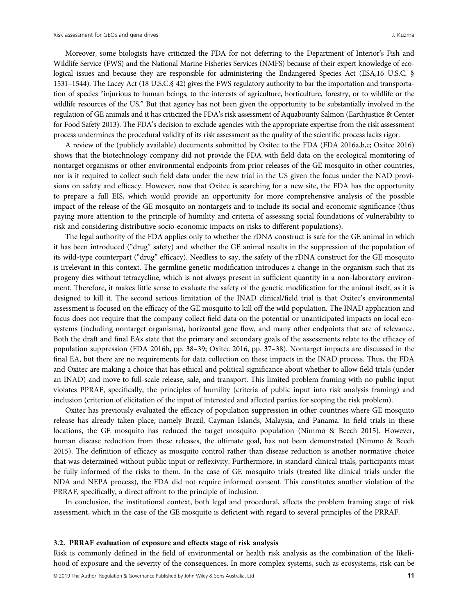Moreover, some biologists have criticized the FDA for not deferring to the Department of Interior's Fish and Wildlife Service (FWS) and the National Marine Fisheries Services (NMFS) because of their expert knowledge of ecological issues and because they are responsible for administering the Endangered Species Act (ESA,16 U.S.C. § 1531–1544). The Lacey Act (18 U.S.C.§ 42) gives the FWS regulatory authority to bar the importation and transportation of species "injurious to human beings, to the interests of agriculture, horticulture, forestry, or to wildlife or the wildlife resources of the US." But that agency has not been given the opportunity to be substantially involved in the regulation of GE animals and it has criticized the FDA's risk assessment of Aquabounty Salmon (Earthjustice & Center for Food Safety 2013). The FDA's decision to exclude agencies with the appropriate expertise from the risk assessment process undermines the procedural validity of its risk assessment as the quality of the scientific process lacks rigor.

A review of the (publicly available) documents submitted by Oxitec to the FDA (FDA 2016a,b,c; Oxitec 2016) shows that the biotechnology company did not provide the FDA with field data on the ecological monitoring of nontarget organisms or other environmental endpoints from prior releases of the GE mosquito in other countries, nor is it required to collect such field data under the new trial in the US given the focus under the NAD provisions on safety and efficacy. However, now that Oxitec is searching for a new site, the FDA has the opportunity to prepare a full EIS, which would provide an opportunity for more comprehensive analysis of the possible impact of the release of the GE mosquito on nontargets and to include its social and economic significance (thus paying more attention to the principle of humility and criteria of assessing social foundations of vulnerability to risk and considering distributive socio-economic impacts on risks to different populations).

The legal authority of the FDA applies only to whether the rDNA construct is safe for the GE animal in which it has been introduced ("drug" safety) and whether the GE animal results in the suppression of the population of its wild-type counterpart ("drug" efficacy). Needless to say, the safety of the rDNA construct for the GE mosquito is irrelevant in this context. The germline genetic modification introduces a change in the organism such that its progeny dies without tetracycline, which is not always present in sufficient quantity in a non-laboratory environment. Therefore, it makes little sense to evaluate the safety of the genetic modification for the animal itself, as it is designed to kill it. The second serious limitation of the INAD clinical/field trial is that Oxitec's environmental assessment is focused on the efficacy of the GE mosquito to kill off the wild population. The INAD application and focus does not require that the company collect field data on the potential or unanticipated impacts on local ecosystems (including nontarget organisms), horizontal gene flow, and many other endpoints that are of relevance. Both the draft and final EAs state that the primary and secondary goals of the assessments relate to the efficacy of population suppression (FDA 2016b, pp. 38–39; Oxitec 2016, pp. 37–38). Nontarget impacts are discussed in the final EA, but there are no requirements for data collection on these impacts in the INAD process. Thus, the FDA and Oxitec are making a choice that has ethical and political significance about whether to allow field trials (under an INAD) and move to full-scale release, sale, and transport. This limited problem framing with no public input violates PPRAF, specifically, the principles of humility (criteria of public input into risk analysis framing) and inclusion (criterion of elicitation of the input of interested and affected parties for scoping the risk problem).

Oxitec has previously evaluated the efficacy of population suppression in other countries where GE mosquito release has already taken place, namely Brazil, Cayman Islands, Malaysia, and Panama. In field trials in these locations, the GE mosquito has reduced the target mosquito population (Nimmo & Beech 2015). However, human disease reduction from these releases, the ultimate goal, has not been demonstrated (Nimmo & Beech 2015). The definition of efficacy as mosquito control rather than disease reduction is another normative choice that was determined without public input or reflexivity. Furthermore, in standard clinical trials, participants must be fully informed of the risks to them. In the case of GE mosquito trials (treated like clinical trials under the NDA and NEPA process), the FDA did not require informed consent. This constitutes another violation of the PRRAF, specifically, a direct affront to the principle of inclusion.

In conclusion, the institutional context, both legal and procedural, affects the problem framing stage of risk assessment, which in the case of the GE mosquito is deficient with regard to several principles of the PRRAF.

#### 3.2. PRRAF evaluation of exposure and effects stage of risk analysis

Risk is commonly defined in the field of environmental or health risk analysis as the combination of the likelihood of exposure and the severity of the consequences. In more complex systems, such as ecosystems, risk can be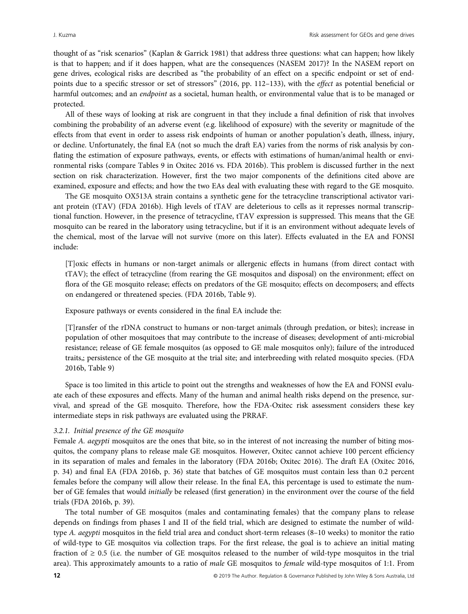thought of as "risk scenarios" (Kaplan & Garrick 1981) that address three questions: what can happen; how likely is that to happen; and if it does happen, what are the consequences (NASEM 2017)? In the NASEM report on gene drives, ecological risks are described as "the probability of an effect on a specific endpoint or set of endpoints due to a specific stressor or set of stressors" (2016, pp. 112–133), with the effect as potential beneficial or harmful outcomes; and an *endpoint* as a societal, human health, or environmental value that is to be managed or protected.

All of these ways of looking at risk are congruent in that they include a final definition of risk that involves combining the probability of an adverse event (e.g. likelihood of exposure) with the severity or magnitude of the effects from that event in order to assess risk endpoints of human or another population's death, illness, injury, or decline. Unfortunately, the final EA (not so much the draft EA) varies from the norms of risk analysis by conflating the estimation of exposure pathways, events, or effects with estimations of human/animal health or environmental risks (compare Tables 9 in Oxitec 2016 vs. FDA 2016b). This problem is discussed further in the next section on risk characterization. However, first the two major components of the definitions cited above are examined, exposure and effects; and how the two EAs deal with evaluating these with regard to the GE mosquito.

The GE mosquito OX513A strain contains a synthetic gene for the tetracycline transcriptional activator variant protein (tTAV) (FDA 2016b). High levels of tTAV are deleterious to cells as it represses normal transcriptional function. However, in the presence of tetracycline, tTAV expression is suppressed. This means that the GE mosquito can be reared in the laboratory using tetracycline, but if it is an environment without adequate levels of the chemical, most of the larvae will not survive (more on this later). Effects evaluated in the EA and FONSI include:

[T]oxic effects in humans or non-target animals or allergenic effects in humans (from direct contact with tTAV); the effect of tetracycline (from rearing the GE mosquitos and disposal) on the environment; effect on flora of the GE mosquito release; effects on predators of the GE mosquito; effects on decomposers; and effects on endangered or threatened species. (FDA 2016b, Table 9).

Exposure pathways or events considered in the final EA include the:

[T]ransfer of the rDNA construct to humans or non-target animals (through predation, or bites); increase in population of other mosquitoes that may contribute to the increase of diseases; development of anti-microbial resistance; release of GE female mosquitos (as opposed to GE male mosquitos only); failure of the introduced traits,; persistence of the GE mosquito at the trial site; and interbreeding with related mosquito species. (FDA 2016b, Table 9)

Space is too limited in this article to point out the strengths and weaknesses of how the EA and FONSI evaluate each of these exposures and effects. Many of the human and animal health risks depend on the presence, survival, and spread of the GE mosquito. Therefore, how the FDA-Oxitec risk assessment considers these key intermediate steps in risk pathways are evaluated using the PRRAF.

#### 3.2.1. Initial presence of the GE mosquito

Female A. aegypti mosquitos are the ones that bite, so in the interest of not increasing the number of biting mosquitos, the company plans to release male GE mosquitos. However, Oxitec cannot achieve 100 percent efficiency in its separation of males and females in the laboratory (FDA 2016b; Oxitec 2016). The draft EA (Oxitec 2016, p. 34) and final EA (FDA 2016b, p. 36) state that batches of GE mosquitos must contain less than 0.2 percent females before the company will allow their release. In the final EA, this percentage is used to estimate the number of GE females that would initially be released (first generation) in the environment over the course of the field trials (FDA 2016b, p. 39).

The total number of GE mosquitos (males and contaminating females) that the company plans to release depends on findings from phases I and II of the field trial, which are designed to estimate the number of wildtype A. aegypti mosquitos in the field trial area and conduct short-term releases (8–10 weeks) to monitor the ratio of wild-type to GE mosquitos via collection traps. For the first release, the goal is to achieve an initial mating fraction of  $\geq 0.5$  (i.e. the number of GE mosquitos released to the number of wild-type mosquitos in the trial area). This approximately amounts to a ratio of male GE mosquitos to female wild-type mosquitos of 1:1. From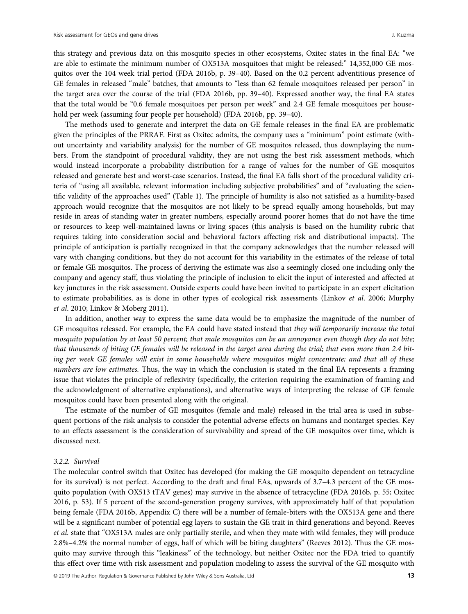this strategy and previous data on this mosquito species in other ecosystems, Oxitec states in the final EA: "we are able to estimate the minimum number of OX513A mosquitoes that might be released:" 14,352,000 GE mosquitos over the 104 week trial period (FDA 2016b, p. 39–40). Based on the 0.2 percent adventitious presence of GE females in released "male" batches, that amounts to "less than 62 female mosquitoes released per person" in the target area over the course of the trial (FDA 2016b, pp. 39–40). Expressed another way, the final EA states that the total would be "0.6 female mosquitoes per person per week" and 2.4 GE female mosquitoes per household per week (assuming four people per household) (FDA 2016b, pp. 39–40).

The methods used to generate and interpret the data on GE female releases in the final EA are problematic given the principles of the PRRAF. First as Oxitec admits, the company uses a "minimum" point estimate (without uncertainty and variability analysis) for the number of GE mosquitos released, thus downplaying the numbers. From the standpoint of procedural validity, they are not using the best risk assessment methods, which would instead incorporate a probability distribution for a range of values for the number of GE mosquitos released and generate best and worst-case scenarios. Instead, the final EA falls short of the procedural validity criteria of "using all available, relevant information including subjective probabilities" and of "evaluating the scientific validity of the approaches used" (Table 1). The principle of humility is also not satisfied as a humility-based approach would recognize that the mosquitos are not likely to be spread equally among households, but may reside in areas of standing water in greater numbers, especially around poorer homes that do not have the time or resources to keep well-maintained lawns or living spaces (this analysis is based on the humility rubric that requires taking into consideration social and behavioral factors affecting risk and distributional impacts). The principle of anticipation is partially recognized in that the company acknowledges that the number released will vary with changing conditions, but they do not account for this variability in the estimates of the release of total or female GE mosquitos. The process of deriving the estimate was also a seemingly closed one including only the company and agency staff, thus violating the principle of inclusion to elicit the input of interested and affected at key junctures in the risk assessment. Outside experts could have been invited to participate in an expert elicitation to estimate probabilities, as is done in other types of ecological risk assessments (Linkov et al. 2006; Murphy et al. 2010; Linkov & Moberg 2011).

In addition, another way to express the same data would be to emphasize the magnitude of the number of GE mosquitos released. For example, the EA could have stated instead that they will temporarily increase the total mosquito population by at least 50 percent; that male mosquitos can be an annoyance even though they do not bite; that thousands of biting GE females will be released in the target area during the trial; that even more than 2.4 biting per week GE females will exist in some households where mosquitos might concentrate; and that all of these numbers are low estimates. Thus, the way in which the conclusion is stated in the final EA represents a framing issue that violates the principle of reflexivity (specifically, the criterion requiring the examination of framing and the acknowledgment of alternative explanations), and alternative ways of interpreting the release of GE female mosquitos could have been presented along with the original.

The estimate of the number of GE mosquitos (female and male) released in the trial area is used in subsequent portions of the risk analysis to consider the potential adverse effects on humans and nontarget species. Key to an effects assessment is the consideration of survivability and spread of the GE mosquitos over time, which is discussed next.

# 3.2.2. Survival

The molecular control switch that Oxitec has developed (for making the GE mosquito dependent on tetracycline for its survival) is not perfect. According to the draft and final EAs, upwards of 3.7–4.3 percent of the GE mosquito population (with OX513 tTAV genes) may survive in the absence of tetracycline (FDA 2016b, p. 55; Oxitec 2016, p. 53). If 5 percent of the second-generation progeny survives, with approximately half of that population being female (FDA 2016b, Appendix C) there will be a number of female-biters with the OX513A gene and there will be a significant number of potential egg layers to sustain the GE trait in third generations and beyond. Reeves et al. state that "OX513A males are only partially sterile, and when they mate with wild females, they will produce 2.8%–4.2% the normal number of eggs, half of which will be biting daughters" (Reeves 2012). Thus the GE mosquito may survive through this "leakiness" of the technology, but neither Oxitec nor the FDA tried to quantify this effect over time with risk assessment and population modeling to assess the survival of the GE mosquito with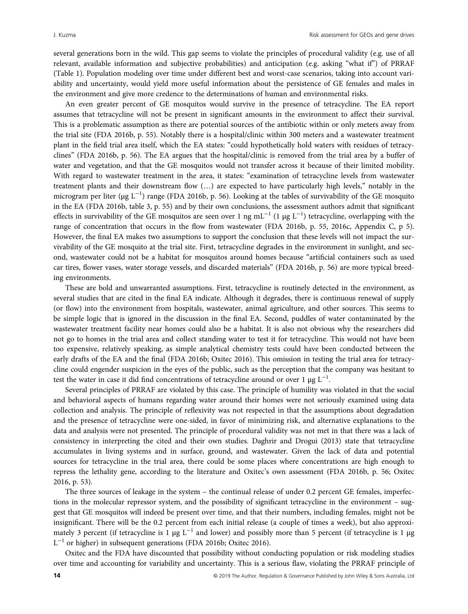several generations born in the wild. This gap seems to violate the principles of procedural validity (e.g. use of all relevant, available information and subjective probabilities) and anticipation (e.g. asking "what if") of PRRAF (Table 1). Population modeling over time under different best and worst-case scenarios, taking into account variability and uncertainty, would yield more useful information about the persistence of GE females and males in the environment and give more credence to the determinations of human and environmental risks.

An even greater percent of GE mosquitos would survive in the presence of tetracycline. The EA report assumes that tetracycline will not be present in significant amounts in the environment to affect their survival. This is a problematic assumption as there are potential sources of the antibiotic within or only meters away from the trial site (FDA 2016b, p. 55). Notably there is a hospital/clinic within 300 meters and a wastewater treatment plant in the field trial area itself, which the EA states: "could hypothetically hold waters with residues of tetracyclines" (FDA 2016b, p. 56). The EA argues that the hospital/clinic is removed from the trial area by a buffer of water and vegetation, and that the GE mosquitos would not transfer across it because of their limited mobility. With regard to wastewater treatment in the area, it states: "examination of tetracycline levels from wastewater treatment plants and their downstream flow (…) are expected to have particularly high levels," notably in the microgram per liter (μg L $^{-1}$ ) range (FDA 2016b, p. 56). Looking at the tables of survivability of the GE mosquito in the EA (FDA 2016b, table 3, p. 55) and by their own conclusions, the assessment authors admit that significant effects in survivability of the GE mosquitos are seen over 1 ng mL $^{-1}$  (1 µg L $^{-1}$ ) tetracycline, overlapping with the range of concentration that occurs in the flow from wastewater (FDA 2016b, p. 55, 2016c, Appendix C, p 5). However, the final EA makes two assumptions to support the conclusion that these levels will not impact the survivability of the GE mosquito at the trial site. First, tetracycline degrades in the environment in sunlight, and second, wastewater could not be a habitat for mosquitos around homes because "artificial containers such as used car tires, flower vases, water storage vessels, and discarded materials" (FDA 2016b, p. 56) are more typical breeding environments.

These are bold and unwarranted assumptions. First, tetracycline is routinely detected in the environment, as several studies that are cited in the final EA indicate. Although it degrades, there is continuous renewal of supply (or flow) into the environment from hospitals, wastewater, animal agriculture, and other sources. This seems to be simple logic that is ignored in the discussion in the final EA. Second, puddles of water contaminated by the wastewater treatment facility near homes could also be a habitat. It is also not obvious why the researchers did not go to homes in the trial area and collect standing water to test it for tetracycline. This would not have been too expensive, relatively speaking, as simple analytical chemistry tests could have been conducted between the early drafts of the EA and the final (FDA 2016b; Oxitec 2016). This omission in testing the trial area for tetracycline could engender suspicion in the eyes of the public, such as the perception that the company was hesitant to test the water in case it did find concentrations of tetracycline around or over 1  $\mu$ g L $^{-1}$ .

Several principles of PRRAF are violated by this case. The principle of humility was violated in that the social and behavioral aspects of humans regarding water around their homes were not seriously examined using data collection and analysis. The principle of reflexivity was not respected in that the assumptions about degradation and the presence of tetracycline were one-sided, in favor of minimizing risk, and alternative explanations to the data and analysis were not presented. The principle of procedural validity was not met in that there was a lack of consistency in interpreting the cited and their own studies. Daghrir and Drogui (2013) state that tetracycline accumulates in living systems and in surface, ground, and wastewater. Given the lack of data and potential sources for tetracycline in the trial area, there could be some places where concentrations are high enough to repress the lethality gene, according to the literature and Oxitec's own assessment (FDA 2016b, p. 56; Oxitec 2016, p. 53).

The three sources of leakage in the system – the continual release of under 0.2 percent GE females, imperfections in the molecular repressor system, and the possibility of significant tetracycline in the environment – suggest that GE mosquitos will indeed be present over time, and that their numbers, including females, might not be insignificant. There will be the 0.2 percent from each initial release (a couple of times a week), but also approximately 3 percent (if tetracycline is 1 μg L<sup>-1</sup> and lower) and possibly more than 5 percent (if tetracycline is 1 μg L−<sup>1</sup> or higher) in subsequent generations (FDA 2016b; Oxitec 2016).

Oxitec and the FDA have discounted that possibility without conducting population or risk modeling studies over time and accounting for variability and uncertainty. This is a serious flaw, violating the PRRAF principle of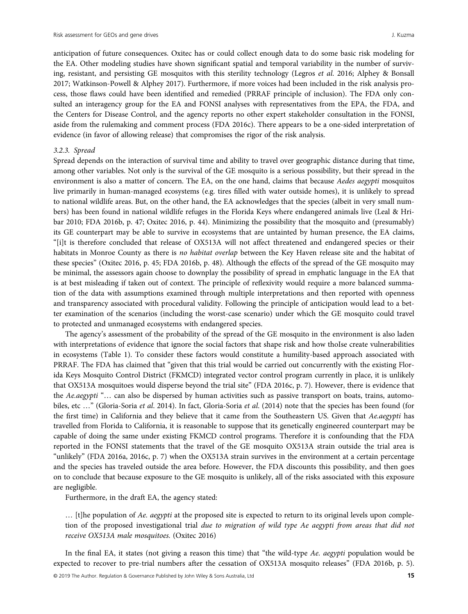anticipation of future consequences. Oxitec has or could collect enough data to do some basic risk modeling for the EA. Other modeling studies have shown significant spatial and temporal variability in the number of surviving, resistant, and persisting GE mosquitos with this sterility technology (Legros et al. 2016; Alphey & Bonsall 2017; Watkinson-Powell & Alphey 2017). Furthermore, if more voices had been included in the risk analysis process, those flaws could have been identified and remedied (PRRAF principle of inclusion). The FDA only consulted an interagency group for the EA and FONSI analyses with representatives from the EPA, the FDA, and the Centers for Disease Control, and the agency reports no other expert stakeholder consultation in the FONSI, aside from the rulemaking and comment process (FDA 2016c). There appears to be a one-sided interpretation of evidence (in favor of allowing release) that compromises the rigor of the risk analysis.

#### 3.2.3. Spread

Spread depends on the interaction of survival time and ability to travel over geographic distance during that time, among other variables. Not only is the survival of the GE mosquito is a serious possibility, but their spread in the environment is also a matter of concern. The EA, on the one hand, claims that because Aedes aegypti mosquitos live primarily in human-managed ecosystems (e.g. tires filled with water outside homes), it is unlikely to spread to national wildlife areas. But, on the other hand, the EA acknowledges that the species (albeit in very small numbers) has been found in national wildlife refuges in the Florida Keys where endangered animals live (Leal & Hribar 2010; FDA 2016b, p. 47; Oxitec 2016, p. 44). Minimizing the possibility that the mosquito and (presumably) its GE counterpart may be able to survive in ecosystems that are untainted by human presence, the EA claims, "[i]t is therefore concluded that release of OX513A will not affect threatened and endangered species or their habitats in Monroe County as there is no habitat overlap between the Key Haven release site and the habitat of these species" (Oxitec 2016, p. 45; FDA 2016b, p. 48). Although the effects of the spread of the GE mosquito may be minimal, the assessors again choose to downplay the possibility of spread in emphatic language in the EA that is at best misleading if taken out of context. The principle of reflexivity would require a more balanced summation of the data with assumptions examined through multiple interpretations and then reported with openness and transparency associated with procedural validity. Following the principle of anticipation would lead to a better examination of the scenarios (including the worst-case scenario) under which the GE mosquito could travel to protected and unmanaged ecosystems with endangered species.

The agency's assessment of the probability of the spread of the GE mosquito in the environment is also laden with interpretations of evidence that ignore the social factors that shape risk and how thoIse create vulnerabilities in ecosystems (Table 1). To consider these factors would constitute a humility-based approach associated with PRRAF. The FDA has claimed that "given that this trial would be carried out concurrently with the existing Florida Keys Mosquito Control District (FKMCD) integrated vector control program currently in place, it is unlikely that OX513A mosquitoes would disperse beyond the trial site" (FDA 2016c, p. 7). However, there is evidence that the Ae.aegypti "... can also be dispersed by human activities such as passive transport on boats, trains, automobiles, etc ..." (Gloria-Soria et al. 2014). In fact, Gloria-Soria et al. (2014) note that the species has been found (for the first time) in California and they believe that it came from the Southeastern US. Given that Ae.aegypti has travelled from Florida to California, it is reasonable to suppose that its genetically engineered counterpart may be capable of doing the same under existing FKMCD control programs. Therefore it is confounding that the FDA reported in the FONSI statements that the travel of the GE mosquito OX513A strain outside the trial area is "unlikely" (FDA 2016a, 2016c, p. 7) when the OX513A strain survives in the environment at a certain percentage and the species has traveled outside the area before. However, the FDA discounts this possibility, and then goes on to conclude that because exposure to the GE mosquito is unlikely, all of the risks associated with this exposure are negligible.

Furthermore, in the draft EA, the agency stated:

… [t]he population of Ae. aegypti at the proposed site is expected to return to its original levels upon completion of the proposed investigational trial due to migration of wild type Ae aegypti from areas that did not receive OX513A male mosquitoes. (Oxitec 2016)

In the final EA, it states (not giving a reason this time) that "the wild-type Ae. aegypti population would be expected to recover to pre-trial numbers after the cessation of OX513A mosquito releases" (FDA 2016b, p. 5).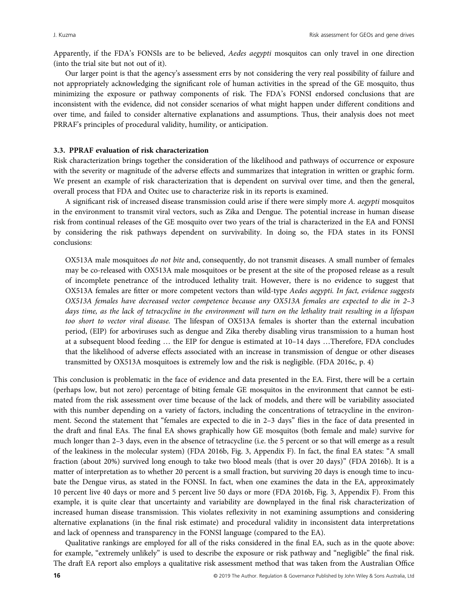Apparently, if the FDA's FONSIs are to be believed, Aedes aegypti mosquitos can only travel in one direction (into the trial site but not out of it).

Our larger point is that the agency's assessment errs by not considering the very real possibility of failure and not appropriately acknowledging the significant role of human activities in the spread of the GE mosquito, thus minimizing the exposure or pathway components of risk. The FDA's FONSI endorsed conclusions that are inconsistent with the evidence, did not consider scenarios of what might happen under different conditions and over time, and failed to consider alternative explanations and assumptions. Thus, their analysis does not meet PRRAF's principles of procedural validity, humility, or anticipation.

#### 3.3. PPRAF evaluation of risk characterization

Risk characterization brings together the consideration of the likelihood and pathways of occurrence or exposure with the severity or magnitude of the adverse effects and summarizes that integration in written or graphic form. We present an example of risk characterization that is dependent on survival over time, and then the general, overall process that FDA and Oxitec use to characterize risk in its reports is examined.

A significant risk of increased disease transmission could arise if there were simply more A. aegypti mosquitos in the environment to transmit viral vectors, such as Zika and Dengue. The potential increase in human disease risk from continual releases of the GE mosquito over two years of the trial is characterized in the EA and FONSI by considering the risk pathways dependent on survivability. In doing so, the FDA states in its FONSI conclusions:

OX513A male mosquitoes do not bite and, consequently, do not transmit diseases. A small number of females may be co-released with OX513A male mosquitoes or be present at the site of the proposed release as a result of incomplete penetrance of the introduced lethality trait. However, there is no evidence to suggest that OX513A females are fitter or more competent vectors than wild-type Aedes aegypti. In fact, evidence suggests OX513A females have decreased vector competence because any OX513A females are expected to die in 2–3 days time, as the lack of tetracycline in the environment will turn on the lethality trait resulting in a lifespan too short to vector viral disease. The lifespan of OX513A females is shorter than the external incubation period, (EIP) for arboviruses such as dengue and Zika thereby disabling virus transmission to a human host at a subsequent blood feeding … the EIP for dengue is estimated at 10–14 days …Therefore, FDA concludes that the likelihood of adverse effects associated with an increase in transmission of dengue or other diseases transmitted by OX513A mosquitoes is extremely low and the risk is negligible. (FDA 2016c, p. 4)

This conclusion is problematic in the face of evidence and data presented in the EA. First, there will be a certain (perhaps low, but not zero) percentage of biting female GE mosquitos in the environment that cannot be estimated from the risk assessment over time because of the lack of models, and there will be variability associated with this number depending on a variety of factors, including the concentrations of tetracycline in the environment. Second the statement that "females are expected to die in 2–3 days" flies in the face of data presented in the draft and final EAs. The final EA shows graphically how GE mosquitos (both female and male) survive for much longer than 2–3 days, even in the absence of tetracycline (i.e. the 5 percent or so that will emerge as a result of the leakiness in the molecular system) (FDA 2016b, Fig. 3, Appendix F). In fact, the final EA states: "A small fraction (about 20%) survived long enough to take two blood meals (that is over 20 days)" (FDA 2016b). It is a matter of interpretation as to whether 20 percent is a small fraction, but surviving 20 days is enough time to incubate the Dengue virus, as stated in the FONSI. In fact, when one examines the data in the EA, approximately 10 percent live 40 days or more and 5 percent live 50 days or more (FDA 2016b, Fig. 3, Appendix F). From this example, it is quite clear that uncertainty and variability are downplayed in the final risk characterization of increased human disease transmission. This violates reflexivity in not examining assumptions and considering alternative explanations (in the final risk estimate) and procedural validity in inconsistent data interpretations and lack of openness and transparency in the FONSI language (compared to the EA).

Qualitative rankings are employed for all of the risks considered in the final EA, such as in the quote above: for example, "extremely unlikely" is used to describe the exposure or risk pathway and "negligible" the final risk. The draft EA report also employs a qualitative risk assessment method that was taken from the Australian Office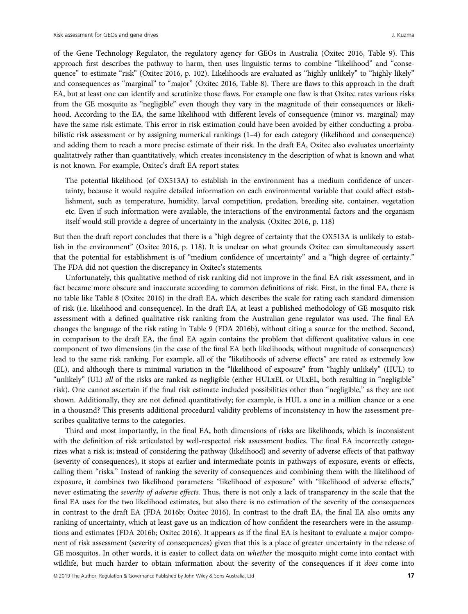of the Gene Technology Regulator, the regulatory agency for GEOs in Australia (Oxitec 2016, Table 9). This approach first describes the pathway to harm, then uses linguistic terms to combine "likelihood" and "consequence" to estimate "risk" (Oxitec 2016, p. 102). Likelihoods are evaluated as "highly unlikely" to "highly likely" and consequences as "marginal" to "major" (Oxitec 2016, Table 8). There are flaws to this approach in the draft EA, but at least one can identify and scrutinize those flaws. For example one flaw is that Oxitec rates various risks from the GE mosquito as "negligible" even though they vary in the magnitude of their consequences or likelihood. According to the EA, the same likelihood with different levels of consequence (minor vs. marginal) may have the same risk estimate. This error in risk estimation could have been avoided by either conducting a probabilistic risk assessment or by assigning numerical rankings (1–4) for each category (likelihood and consequence) and adding them to reach a more precise estimate of their risk. In the draft EA, Oxitec also evaluates uncertainty qualitatively rather than quantitatively, which creates inconsistency in the description of what is known and what is not known. For example, Oxitec's draft EA report states:

The potential likelihood (of OX513A) to establish in the environment has a medium confidence of uncertainty, because it would require detailed information on each environmental variable that could affect establishment, such as temperature, humidity, larval competition, predation, breeding site, container, vegetation etc. Even if such information were available, the interactions of the environmental factors and the organism itself would still provide a degree of uncertainty in the analysis. (Oxitec 2016, p. 118)

But then the draft report concludes that there is a "high degree of certainty that the OX513A is unlikely to establish in the environment" (Oxitec 2016, p. 118). It is unclear on what grounds Oxitec can simultaneously assert that the potential for establishment is of "medium confidence of uncertainty" and a "high degree of certainty." The FDA did not question the discrepancy in Oxitec's statements.

Unfortunately, this qualitative method of risk ranking did not improve in the final EA risk assessment, and in fact became more obscure and inaccurate according to common definitions of risk. First, in the final EA, there is no table like Table 8 (Oxitec 2016) in the draft EA, which describes the scale for rating each standard dimension of risk (i.e. likelihood and consequence). In the draft EA, at least a published methodology of GE mosquito risk assessment with a defined qualitative risk ranking from the Australian gene regulator was used. The final EA changes the language of the risk rating in Table 9 (FDA 2016b), without citing a source for the method. Second, in comparison to the draft EA, the final EA again contains the problem that different qualitative values in one component of two dimensions (in the case of the final EA both likelihoods, without magnitude of consequences) lead to the same risk ranking. For example, all of the "likelihoods of adverse effects" are rated as extremely low (EL), and although there is minimal variation in the "likelihood of exposure" from "highly unlikely" (HUL) to "unlikely" (UL) all of the risks are ranked as negligible (either HULxEL or ULxEL, both resulting in "negligible" risk). One cannot ascertain if the final risk estimate included possibilities other than "negligible," as they are not shown. Additionally, they are not defined quantitatively; for example, is HUL a one in a million chance or a one in a thousand? This presents additional procedural validity problems of inconsistency in how the assessment prescribes qualitative terms to the categories.

Third and most importantly, in the final EA, both dimensions of risks are likelihoods, which is inconsistent with the definition of risk articulated by well-respected risk assessment bodies. The final EA incorrectly categorizes what a risk is; instead of considering the pathway (likelihood) and severity of adverse effects of that pathway (severity of consequences), it stops at earlier and intermediate points in pathways of exposure, events or effects, calling them "risks." Instead of ranking the severity of consequences and combining them with the likelihood of exposure, it combines two likelihood parameters: "likelihood of exposure" with "likelihood of adverse effects," never estimating the *severity of adverse effects*. Thus, there is not only a lack of transparency in the scale that the final EA uses for the two likelihood estimates, but also there is no estimation of the severity of the consequences in contrast to the draft EA (FDA 2016b; Oxitec 2016). In contrast to the draft EA, the final EA also omits any ranking of uncertainty, which at least gave us an indication of how confident the researchers were in the assumptions and estimates (FDA 2016b; Oxitec 2016). It appears as if the final EA is hesitant to evaluate a major component of risk assessment (severity of consequences) given that this is a place of greater uncertainty in the release of GE mosquitos. In other words, it is easier to collect data on whether the mosquito might come into contact with wildlife, but much harder to obtain information about the severity of the consequences if it does come into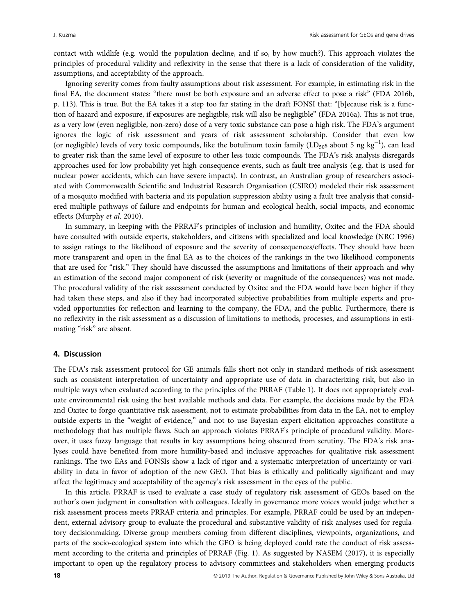contact with wildlife (e.g. would the population decline, and if so, by how much?). This approach violates the principles of procedural validity and reflexivity in the sense that there is a lack of consideration of the validity, assumptions, and acceptability of the approach.

Ignoring severity comes from faulty assumptions about risk assessment. For example, in estimating risk in the final EA, the document states: "there must be both exposure and an adverse effect to pose a risk" (FDA 2016b, p. 113). This is true. But the EA takes it a step too far stating in the draft FONSI that: "[b]ecause risk is a function of hazard and exposure, if exposures are negligible, risk will also be negligible" (FDA 2016a). This is not true, as a very low (even negligible, non-zero) dose of a very toxic substance can pose a high risk. The FDA's argument ignores the logic of risk assessment and years of risk assessment scholarship. Consider that even low (or negligible) levels of very toxic compounds, like the botulinum toxin family (LD<sub>50</sub>s about 5 ng kg<sup>-1</sup>), can lead to greater risk than the same level of exposure to other less toxic compounds. The FDA's risk analysis disregards approaches used for low probability yet high consequence events, such as fault tree analysis (e.g. that is used for nuclear power accidents, which can have severe impacts). In contrast, an Australian group of researchers associated with Commonwealth Scientific and Industrial Research Organisation (CSIRO) modeled their risk assessment of a mosquito modified with bacteria and its population suppression ability using a fault tree analysis that considered multiple pathways of failure and endpoints for human and ecological health, social impacts, and economic effects (Murphy et al. 2010).

In summary, in keeping with the PRRAF's principles of inclusion and humility, Oxitec and the FDA should have consulted with outside experts, stakeholders, and citizens with specialized and local knowledge (NRC 1996) to assign ratings to the likelihood of exposure and the severity of consequences/effects. They should have been more transparent and open in the final EA as to the choices of the rankings in the two likelihood components that are used for "risk." They should have discussed the assumptions and limitations of their approach and why an estimation of the second major component of risk (severity or magnitude of the consequences) was not made. The procedural validity of the risk assessment conducted by Oxitec and the FDA would have been higher if they had taken these steps, and also if they had incorporated subjective probabilities from multiple experts and provided opportunities for reflection and learning to the company, the FDA, and the public. Furthermore, there is no reflexivity in the risk assessment as a discussion of limitations to methods, processes, and assumptions in estimating "risk" are absent.

# 4. Discussion

The FDA's risk assessment protocol for GE animals falls short not only in standard methods of risk assessment such as consistent interpretation of uncertainty and appropriate use of data in characterizing risk, but also in multiple ways when evaluated according to the principles of the PRRAF (Table 1). It does not appropriately evaluate environmental risk using the best available methods and data. For example, the decisions made by the FDA and Oxitec to forgo quantitative risk assessment, not to estimate probabilities from data in the EA, not to employ outside experts in the "weight of evidence," and not to use Bayesian expert elicitation approaches constitute a methodology that has multiple flaws. Such an approach violates PRRAF's principle of procedural validity. Moreover, it uses fuzzy language that results in key assumptions being obscured from scrutiny. The FDA's risk analyses could have benefited from more humility-based and inclusive approaches for qualitative risk assessment rankings. The two EAs and FONSIs show a lack of rigor and a systematic interpretation of uncertainty or variability in data in favor of adoption of the new GEO. That bias is ethically and politically significant and may affect the legitimacy and acceptability of the agency's risk assessment in the eyes of the public.

In this article, PRRAF is used to evaluate a case study of regulatory risk assessment of GEOs based on the author's own judgment in consultation with colleagues. Ideally in governance more voices would judge whether a risk assessment process meets PRRAF criteria and principles. For example, PRRAF could be used by an independent, external advisory group to evaluate the procedural and substantive validity of risk analyses used for regulatory decisionmaking. Diverse group members coming from different disciplines, viewpoints, organizations, and parts of the socio-ecological system into which the GEO is being deployed could rate the conduct of risk assessment according to the criteria and principles of PRRAF (Fig. 1). As suggested by NASEM (2017), it is especially important to open up the regulatory process to advisory committees and stakeholders when emerging products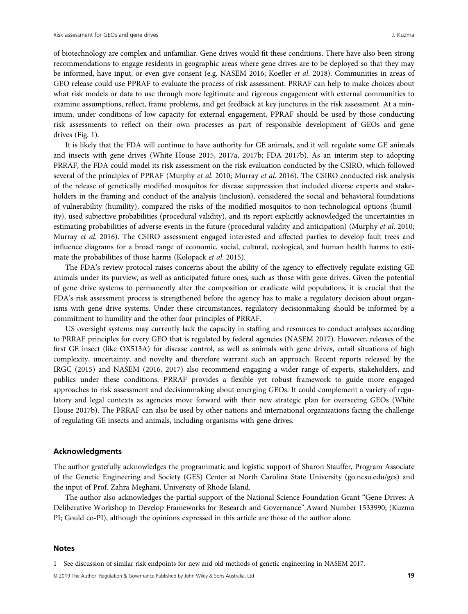of biotechnology are complex and unfamiliar. Gene drives would fit these conditions. There have also been strong recommendations to engage residents in geographic areas where gene drives are to be deployed so that they may be informed, have input, or even give consent (e.g. NASEM 2016; Koefler et al. 2018). Communities in areas of GEO release could use PPRAF to evaluate the process of risk assessment. PRRAF can help to make choices about what risk models or data to use through more legitimate and rigorous engagement with external communities to examine assumptions, reflect, frame problems, and get feedback at key junctures in the risk assessment. At a minimum, under conditions of low capacity for external engagement, PPRAF should be used by those conducting risk assessments to reflect on their own processes as part of responsible development of GEOs and gene drives (Fig. 1).

It is likely that the FDA will continue to have authority for GE animals, and it will regulate some GE animals and insects with gene drives (White House 2015, 2017a, 2017b; FDA 2017b). As an interim step to adopting PRRAF, the FDA could model its risk assessment on the risk evaluation conducted by the CSIRO, which followed several of the principles of PPRAF (Murphy et al. 2010; Murray et al. 2016). The CSIRO conducted risk analysis of the release of genetically modified mosquitos for disease suppression that included diverse experts and stakeholders in the framing and conduct of the analysis (inclusion), considered the social and behavioral foundations of vulnerability (humility), compared the risks of the modified mosquitos to non-technological options (humility), used subjective probabilities (procedural validity), and its report explicitly acknowledged the uncertainties in estimating probabilities of adverse events in the future (procedural validity and anticipation) (Murphy et al. 2010; Murray et al. 2016). The CSIRO assessment engaged interested and affected parties to develop fault trees and influence diagrams for a broad range of economic, social, cultural, ecological, and human health harms to estimate the probabilities of those harms (Kolopack et al. 2015).

The FDA's review protocol raises concerns about the ability of the agency to effectively regulate existing GE animals under its purview, as well as anticipated future ones, such as those with gene drives. Given the potential of gene drive systems to permanently alter the composition or eradicate wild populations, it is crucial that the FDA's risk assessment process is strengthened before the agency has to make a regulatory decision about organisms with gene drive systems. Under these circumstances, regulatory decisionmaking should be informed by a commitment to humility and the other four principles of PRRAF.

US oversight systems may currently lack the capacity in staffing and resources to conduct analyses according to PRRAF principles for every GEO that is regulated by federal agencies (NASEM 2017). However, releases of the first GE insect (like OX513A) for disease control, as well as animals with gene drives, entail situations of high complexity, uncertainty, and novelty and therefore warrant such an approach. Recent reports released by the IRGC (2015) and NASEM (2016, 2017) also recommend engaging a wider range of experts, stakeholders, and publics under these conditions. PRRAF provides a flexible yet robust framework to guide more engaged approaches to risk assessment and decisionmaking about emerging GEOs. It could complement a variety of regulatory and legal contexts as agencies move forward with their new strategic plan for overseeing GEOs (White House 2017b). The PRRAF can also be used by other nations and international organizations facing the challenge of regulating GE insects and animals, including organisms with gene drives.

#### Acknowledgments

The author gratefully acknowledges the programmatic and logistic support of Sharon Stauffer, Program Associate of the Genetic Engineering and Society (GES) Center at North Carolina State University [\(go.ncsu.edu](http://go.ncsu.edu)/ges) and the input of Prof. Zahra Meghani, University of Rhode Island.

The author also acknowledges the partial support of the National Science Foundation Grant "Gene Drives: A Deliberative Workshop to Develop Frameworks for Research and Governance" Award Number 1533990; (Kuzma PI; Gould co-PI), although the opinions expressed in this article are those of the author alone.

#### Notes

1 See discussion of similar risk endpoints for new and old methods of genetic engineering in NASEM 2017.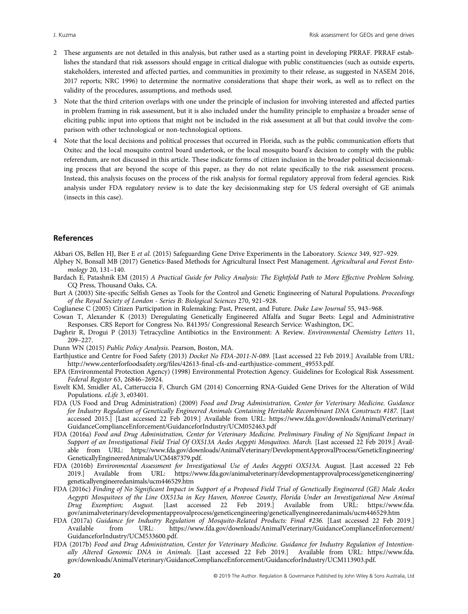- 2 These arguments are not detailed in this analysis, but rather used as a starting point in developing PRRAF. PRRAF establishes the standard that risk assessors should engage in critical dialogue with public constituencies (such as outside experts, stakeholders, interested and affected parties, and communities in proximity to their release, as suggested in NASEM 2016, 2017 reports; NRC 1996) to determine the normative considerations that shape their work, as well as to reflect on the validity of the procedures, assumptions, and methods used.
- 3 Note that the third criterion overlaps with one under the principle of inclusion for involving interested and affected parties in problem framing in risk assessment, but it is also included under the humility principle to emphasize a broader sense of eliciting public input into options that might not be included in the risk assessment at all but that could involve the comparison with other technological or non-technological options.
- 4 Note that the local decisions and political processes that occurred in Florida, such as the public communication efforts that Oxitec and the local mosquito control board undertook, or the local mosquito board's decision to comply with the public referendum, are not discussed in this article. These indicate forms of citizen inclusion in the broader political decisionmaking process that are beyond the scope of this paper, as they do not relate specifically to the risk assessment process. Instead, this analysis focuses on the process of the risk analysis for formal regulatory approval from federal agencies. Risk analysis under FDA regulatory review is to date the key decisionmaking step for US federal oversight of GE animals (insects in this case).

#### References

Akbari OS, Bellen HJ, Bier E et al. (2015) Safeguarding Gene Drive Experiments in the Laboratory. Science 349, 927–929.

- Alphey N, Bonsall MB (2017) Genetics-Based Methods for Agricultural Insect Pest Management. Agricultural and Forest Entomology 20, 131–140.
- Bardach E, Patashnik EM (2015) A Practical Guide for Policy Analysis: The Eightfold Path to More Effective Problem Solving. CQ Press, Thousand Oaks, CA.
- Burt A (2003) Site-specific Selfish Genes as Tools for the Control and Genetic Engineering of Natural Populations. Proceedings of the Royal Society of London - Series B: Biological Sciences 270, 921–928.
- Coglianese C (2005) Citizen Participation in Rulemaking: Past, Present, and Future. Duke Law Journal 55, 943–968.
- Cowan T, Alexander K (2013) Deregulating Genetically Engineered Alfalfa and Sugar Beets: Legal and Administrative Responses. CRS Report for Congress No. R41395/ Congressional Research Service: Washington, DC.
- Daghrir R, Drogui P (2013) Tetracycline Antibiotics in the Environment: A Review. Environmental Chemistry Letters 11, 209–227.
- Dunn WN (2015) Public Policy Analysis. Pearson, Boston, MA.
- Earthjustice and Centre for Food Safety (2013) Docket No FDA-2011-N-089. [Last accessed 22 Feb 2019.] Available from URL: http://www.centerforfoodsafety.org/files/42613-fi[nal-cfs-and-earthjustice-comment\\_49553.pdf.](http://www.centerforfoodsafety.org/files/42613-final-cfs-and-earthjustice-comment_49553.pdf)
- EPA (Environmental Protection Agency) (1998) Environmental Protection Agency. Guidelines for Ecological Risk Assessment. Federal Register 63, 26846–26924.
- Esvelt KM, Smidler AL, Catteruccia F, Church GM (2014) Concerning RNA-Guided Gene Drives for the Alteration of Wild Populations. eLife 3, e03401.
- FDA (US Food and Drug Administration) (2009) Food and Drug Administration, Center for Veterinary Medicine. Guidance for Industry Regulation of Genetically Engineered Animals Containing Heritable Recombinant DNA Constructs #187. [Last accessed 2015.] [Last accessed 22 Feb 2019.] Available from URL: [https://www.fda.gov/downloads/AnimalVeterinary/](https://www.fda.gov/downloads/AnimalVeterinary/GuidanceComplianceEnforcement/GuidanceforIndustry/UCM052463.pdf) [GuidanceComplianceEnforcement/GuidanceforIndustry/UCM052463.pdf](https://www.fda.gov/downloads/AnimalVeterinary/GuidanceComplianceEnforcement/GuidanceforIndustry/UCM052463.pdf)
- FDA (2016a) Food and Drug Administration, Center for Veterinary Medicine. Preliminary Finding of No Significant Impact in Support of an Investigational Field Trial Of OX513A Aedes Aegypti Mosquitoes. March. [Last accessed 22 Feb 2019.] Available from URL: [https://www.fda.gov/downloads/AnimalVeterinary/DevelopmentApprovalProcess/GeneticEngineering/](https://www.fda.gov/downloads/AnimalVeterinary/DevelopmentApprovalProcess/GeneticEngineering/GeneticallyEngineeredAnimals/UCM487379.pdf) [GeneticallyEngineeredAnimals/UCM487379.pdf](https://www.fda.gov/downloads/AnimalVeterinary/DevelopmentApprovalProcess/GeneticEngineering/GeneticallyEngineeredAnimals/UCM487379.pdf).
- FDA (2016b) Environmental Assessment for Investigational Use of Aedes Aegypti OX513A. August. [Last accessed 22 Feb 2019.] Available from URL: [https://www.fda.gov/animalveterinary/developmentapprovalprocess/geneticengineering/](https://www.fda.gov/animalveterinary/developmentapprovalprocess/geneticengineering/geneticallyengineeredanimals/ucm446529.htm) [geneticallyengineeredanimals/ucm446529.htm](https://www.fda.gov/animalveterinary/developmentapprovalprocess/geneticengineering/geneticallyengineeredanimals/ucm446529.htm)
- FDA (2016c) Finding of No Significant Impact in Support of a Proposed Field Trial of Genetically Engineered (GE) Male Aedes Aegypti Mosquitoes of the Line OX513a in Key Haven, Monroe County, Florida Under an Investigational New Animal Drug Exemption; August. [Last accessed 22 Feb 2019.] Available from URL: [https://www.fda.](https://www.fda.gov/animalveterinary/developmentapprovalprocess/geneticengineering/geneticallyengineeredanimals/ucm446529.htm) [gov/animalveterinary/developmentapprovalprocess/geneticengineering/geneticallyengineeredanimals/ucm446529.htm](https://www.fda.gov/animalveterinary/developmentapprovalprocess/geneticengineering/geneticallyengineeredanimals/ucm446529.htm)
- FDA (2017a) Guidance for Industry Regulation of Mosquito-Related Products: Final #236. [Last accessed 22 Feb 2019.] Available from URL: [https://www.fda.gov/downloads/AnimalVeterinary/GuidanceComplianceEnforcement/](https://www.fda.gov/downloads/AnimalVeterinary/GuidanceComplianceEnforcement/GuidanceforIndustry/UCM533600.pdf) [GuidanceforIndustry/UCM533600.pdf.](https://www.fda.gov/downloads/AnimalVeterinary/GuidanceComplianceEnforcement/GuidanceforIndustry/UCM533600.pdf)
- FDA (2017b) Food and Drug Administration, Center for Veterinary Medicine. Guidance for Industry Regulation of Intentionally Altered Genomic DNA in Animals. [Last accessed 22 Feb 2019.] Available from URL: [https://www.fda.](https://www.fda.gov/downloads/AnimalVeterinary/GuidanceComplianceEnforcement/GuidanceforIndustry/UCM113903.pdf) [gov/downloads/AnimalVeterinary/GuidanceComplianceEnforcement/GuidanceforIndustry/UCM113903.pdf.](https://www.fda.gov/downloads/AnimalVeterinary/GuidanceComplianceEnforcement/GuidanceforIndustry/UCM113903.pdf)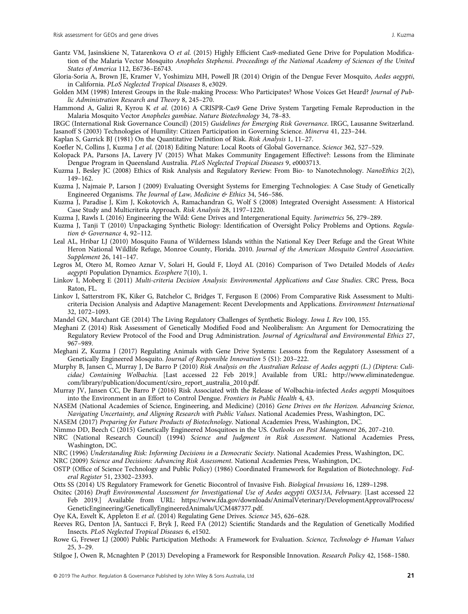- Gantz VM, Jasinskiene N, Tatarenkova O et al. (2015) Highly Efficient Cas9-mediated Gene Drive for Population Modification of the Malaria Vector Mosquito Anopheles Stephensi. Proceedings of the National Academy of Sciences of the United States of America 112, E6736–E6743.
- Gloria-Soria A, Brown JE, Kramer V, Yoshimizu MH, Powell JR (2014) Origin of the Dengue Fever Mosquito, Aedes aegypti, in California. PLoS Neglected Tropical Diseases 8, e3029.
- Golden MM (1998) Interest Groups in the Rule-making Process: Who Participates? Whose Voices Get Heard? Journal of Public Administration Research and Theory 8, 245–270.
- Hammond A, Galizi R, Kyrou K et al. (2016) A CRISPR-Cas9 Gene Drive System Targeting Female Reproduction in the Malaria Mosquito Vector Anopheles gambiae. Nature Biotechnology 34, 78–83.
- IRGC (International Risk Governance Council) (2015) Guidelines for Emerging Risk Governance. IRGC, Lausanne Switzerland. Jasanoff S (2003) Technologies of Humility: Citizen Participation in Governing Science. Minerva 41, 223–244.
- Kaplan S, Garrick BJ (1981) On the Quantitative Definition of Risk. Risk Analysis 1, 11–27.
- Koefler N, Collins J, Kuzma J et al. (2018) Editing Nature: Local Roots of Global Governance. Science 362, 527–529.
- Kolopack PA, Parsons JA, Lavery JV (2015) What Makes Community Engagement Effective?: Lessons from the Eliminate Dengue Program in Queensland Australia. PLoS Neglected Tropical Diseases 9, e0003713.
- Kuzma J, Besley JC (2008) Ethics of Risk Analysis and Regulatory Review: From Bio- to Nanotechnology. NanoEthics 2(2), 149–162.
- Kuzma J, Najmaie P, Larson J (2009) Evaluating Oversight Systems for Emerging Technologies: A Case Study of Genetically Engineered Organisms. The Journal of Law, Medicine & Ethics 34, 546–586.
- Kuzma J, Paradise J, Kim J, Kokotovich A, Ramachandran G, Wolf S (2008) Integrated Oversight Assessment: A Historical Case Study and Multicriteria Approach. Risk Analysis 28, 1197–1220.
- Kuzma J, Rawls L (2016) Engineering the Wild: Gene Drives and Intergenerational Equity. Jurimetrics 56, 279–289.
- Kuzma J, Tanji T (2010) Unpackaging Synthetic Biology: Identification of Oversight Policy Problems and Options. Regulation & Governance 4, 92-112.
- Leal AL, Hribar LJ (2010) Mosquito Fauna of Wilderness Islands within the National Key Deer Refuge and the Great White Heron National Wildlife Refuge, Monroe County, Florida. 2010. Journal of the American Mosquito Control Association. Supplement 26, 141–147.
- Legros M, Otero M, Romeo Aznar V, Solari H, Gould F, Lloyd AL (2016) Comparison of Two Detailed Models of Aedes aegypti Population Dynamics. Ecosphere 7(10), 1.
- Linkov I, Moberg E (2011) Multi-criteria Decision Analysis: Environmental Applications and Case Studies. CRC Press, Boca Raton, FL.
- Linkov I, Satterstrom FK, Kiker G, Batchelor C, Bridges T, Ferguson E (2006) From Comparative Risk Assessment to Multicriteria Decision Analysis and Adaptive Management: Recent Developments and Applications. Environment International 32, 1072–1093.
- Mandel GN, Marchant GE (2014) The Living Regulatory Challenges of Synthetic Biology. Iowa L Rev 100, 155.
- Meghani Z (2014) Risk Assessment of Genetically Modified Food and Neoliberalism: An Argument for Democratizing the Regulatory Review Protocol of the Food and Drug Administration. Journal of Agricultural and Environmental Ethics 27, 967–989.
- Meghani Z, Kuzma J (2017) Regulating Animals with Gene Drive Systems: Lessons from the Regulatory Assessment of a Genetically Engineered Mosquito. Journal of Responsible Innovation 5 (S1): 203–222.
- Murphy B, Jansen C, Murray J, De Barro P (2010) Risk Analysis on the Australian Release of Aedes aegypti (L.) (Diptera: Culicidae) Containing Wolbachia. [Last accessed 22 Feb 2019.] Available from URL: [http://www.eliminatedengue.](http://www.eliminatedengue.com/library/publication/document/csiro_report_australia_2010.pdf) [com/library/publication/document/csiro\\_report\\_australia\\_2010.pdf](http://www.eliminatedengue.com/library/publication/document/csiro_report_australia_2010.pdf).
- Murray JV, Jansen CC, De Barro P (2016) Risk Associated with the Release of Wolbachia-infected Aedes aegypti Mosquitoes into the Environment in an Effort to Control Dengue. Frontiers in Public Health 4, 43.
- NASEM (National Academies of Science, Engineering, and Medicine) (2016) Gene Drives on the Horizon. Advancing Science, Navigating Uncertainty, and Aligning Research with Public Values. National Academies Press, Washington, DC.
- NASEM (2017) Preparing for Future Products of Biotechnology. National Academies Press, Washington, DC.
- Nimmo DD, Beech C (2015) Genetically Engineered Mosquitoes in the US. Outlooks on Pest Management 26, 207–210.
- NRC (National Research Council) (1994) Science and Judgment in Risk Assessment. National Academies Press, Washington, DC.
- NRC (1996) Understanding Risk: Informing Decisions in a Democratic Society. National Academies Press, Washington, DC.
- NRC (2009) Science and Decisions: Advancing Risk Assessment. National Academies Press, Washington, DC.
- OSTP (Office of Science Technology and Public Policy) (1986) Coordinated Framework for Regulation of Biotechnology. Federal Register 51, 23302–23393.
- Otts SS (2014) US Regulatory Framework for Genetic Biocontrol of Invasive Fish. Biological Invasions 16, 1289–1298.
- Oxitec (2016) Draft Environmental Assessment for Investigational Use of Aedes aegypti OX513A, February. [Last accessed 22 Feb 2019.] Available from URL: [https://www.fda.gov/downloads/AnimalVeterinary/DevelopmentApprovalProcess/](https://www.fda.gov/downloads/AnimalVeterinary/DevelopmentApprovalProcess/GeneticEngineering/GeneticallyEngineeredAnimals/UCM487377.pdf) [GeneticEngineering/GeneticallyEngineeredAnimals/UCM487377.pdf.](https://www.fda.gov/downloads/AnimalVeterinary/DevelopmentApprovalProcess/GeneticEngineering/GeneticallyEngineeredAnimals/UCM487377.pdf)
- Oye KA, Esvelt K, Appleton E et al. (2014) Regulating Gene Drives. Science 345, 626–628.
- Reeves RG, Denton JA, Santucci F, Bryk J, Reed FA (2012) Scientific Standards and the Regulation of Genetically Modified Insects. PLoS Neglected Tropical Diseases 6, e1502.
- Rowe G, Frewer LJ (2000) Public Participation Methods: A Framework for Evaluation. Science, Technology & Human Values 25, 3–29.
- Stilgoe J, Owen R, Mcnaghten P (2013) Developing a Framework for Responsible Innovation. Research Policy 42, 1568–1580.